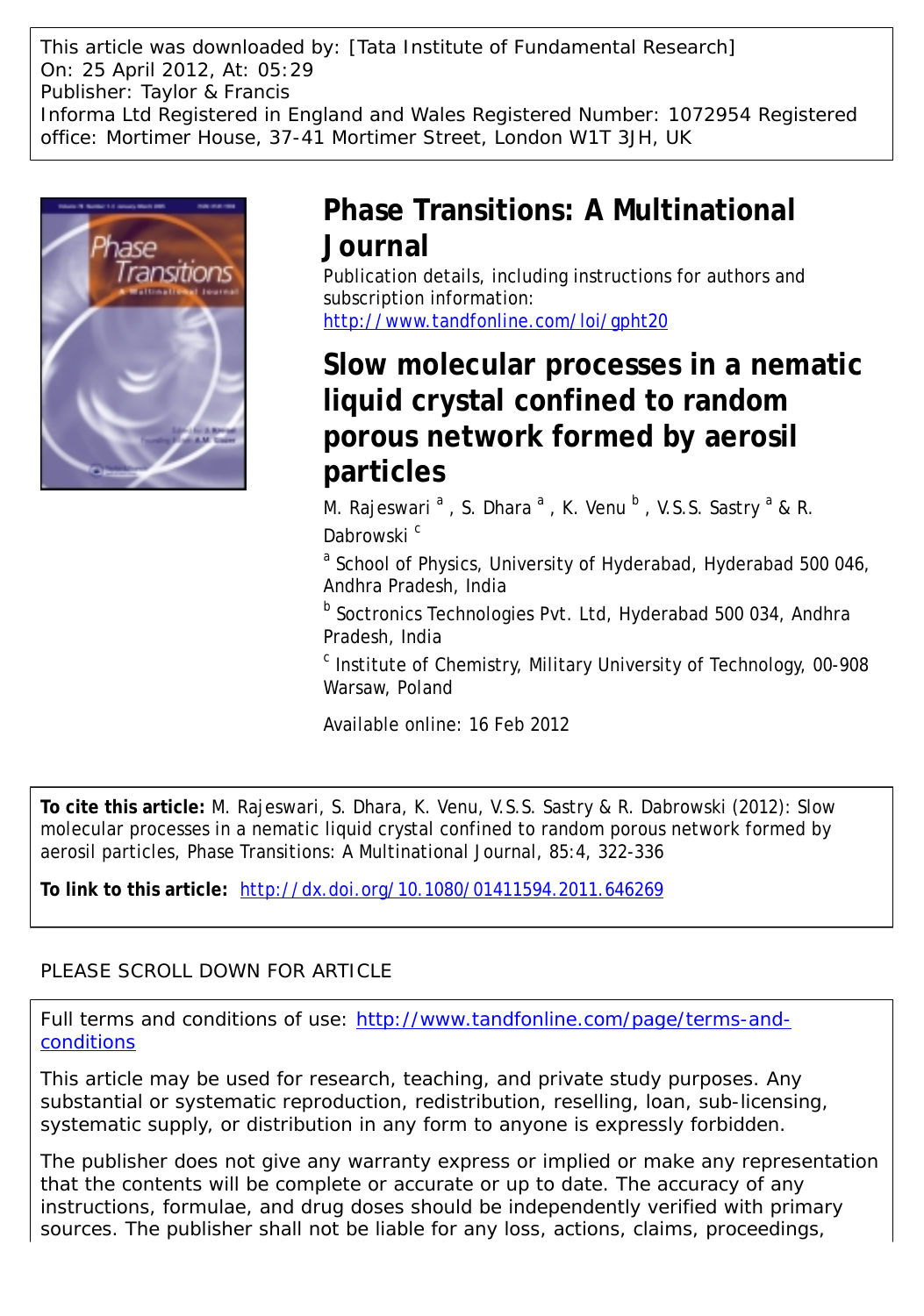This article was downloaded by: [Tata Institute of Fundamental Research] On: 25 April 2012, At: 05:29 Publisher: Taylor & Francis Informa Ltd Registered in England and Wales Registered Number: 1072954 Registered office: Mortimer House, 37-41 Mortimer Street, London W1T 3JH, UK



## **Phase Transitions: A Multinational Journal**

Publication details, including instructions for authors and subscription information: <http://www.tandfonline.com/loi/gpht20>

# **Slow molecular processes in a nematic liquid crystal confined to random porous network formed by aerosil particles**

M. Rajeswari  $^{\mathsf{a}}$  , S. Dhara  $^{\mathsf{a}}$  , K. Venu  $^{\mathsf{b}}$  , V.S.S. Sastry  $^{\mathsf{a}}$  & R. Dabrowski<sup>c</sup>

<sup>a</sup> School of Physics, University of Hyderabad, Hyderabad 500 046, Andhra Pradesh, India

**b** Soctronics Technologies Pvt. Ltd, Hyderabad 500 034, Andhra Pradesh, India

<sup>c</sup> Institute of Chemistry, Military University of Technology, 00-908 Warsaw, Poland

Available online: 16 Feb 2012

**To cite this article:** M. Rajeswari, S. Dhara, K. Venu, V.S.S. Sastry & R. Dabrowski (2012): Slow molecular processes in a nematic liquid crystal confined to random porous network formed by aerosil particles, Phase Transitions: A Multinational Journal, 85:4, 322-336

**To link to this article:** <http://dx.doi.org/10.1080/01411594.2011.646269>

### PLEASE SCROLL DOWN FOR ARTICLE

Full terms and conditions of use: [http://www.tandfonline.com/page/terms-and](http://www.tandfonline.com/page/terms-and-conditions)[conditions](http://www.tandfonline.com/page/terms-and-conditions)

This article may be used for research, teaching, and private study purposes. Any substantial or systematic reproduction, redistribution, reselling, loan, sub-licensing, systematic supply, or distribution in any form to anyone is expressly forbidden.

The publisher does not give any warranty express or implied or make any representation that the contents will be complete or accurate or up to date. The accuracy of any instructions, formulae, and drug doses should be independently verified with primary sources. The publisher shall not be liable for any loss, actions, claims, proceedings,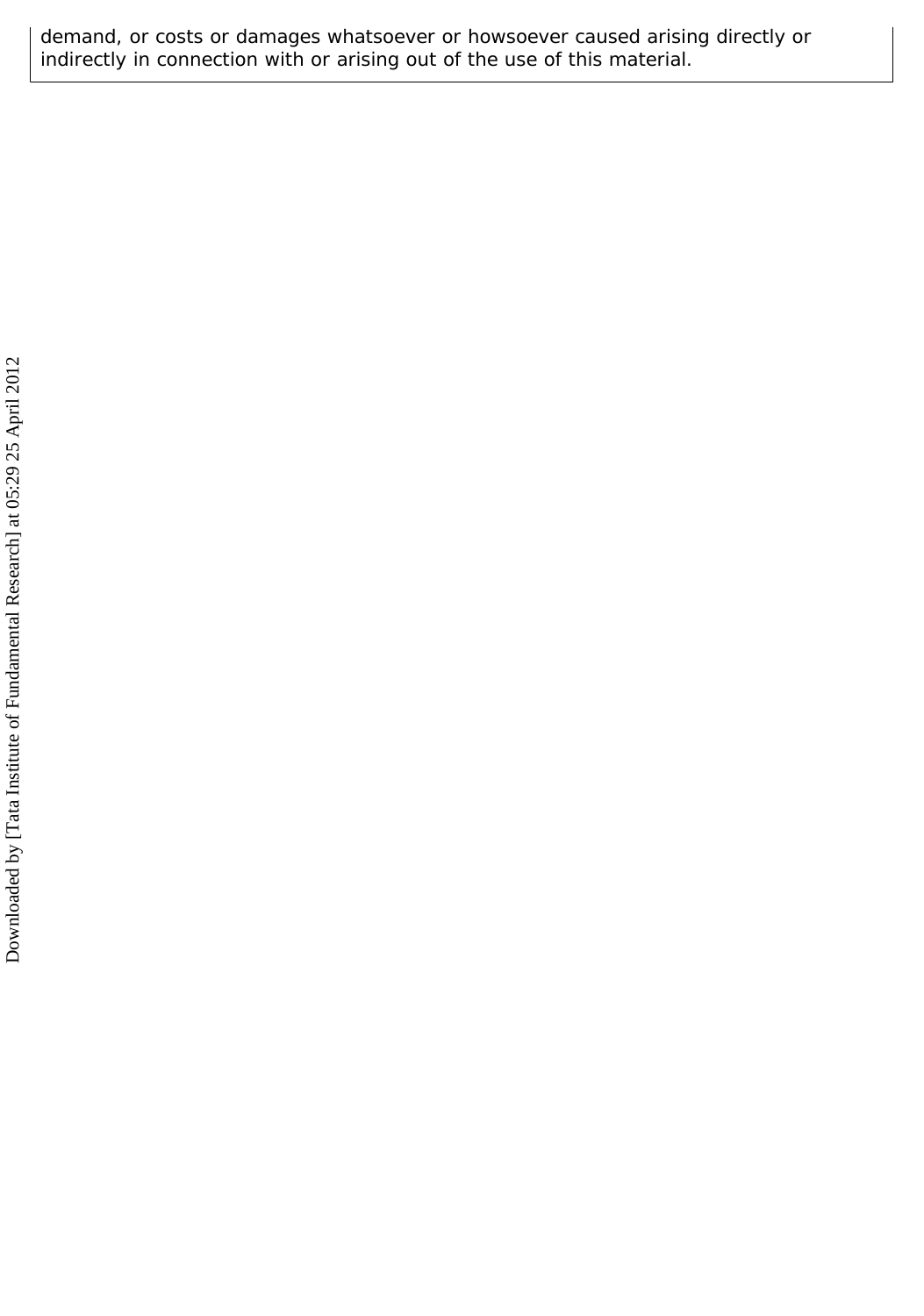demand, or costs or damages whatsoever or howsoever caused arising directly or indirectly in connection with or arising out of the use of this material.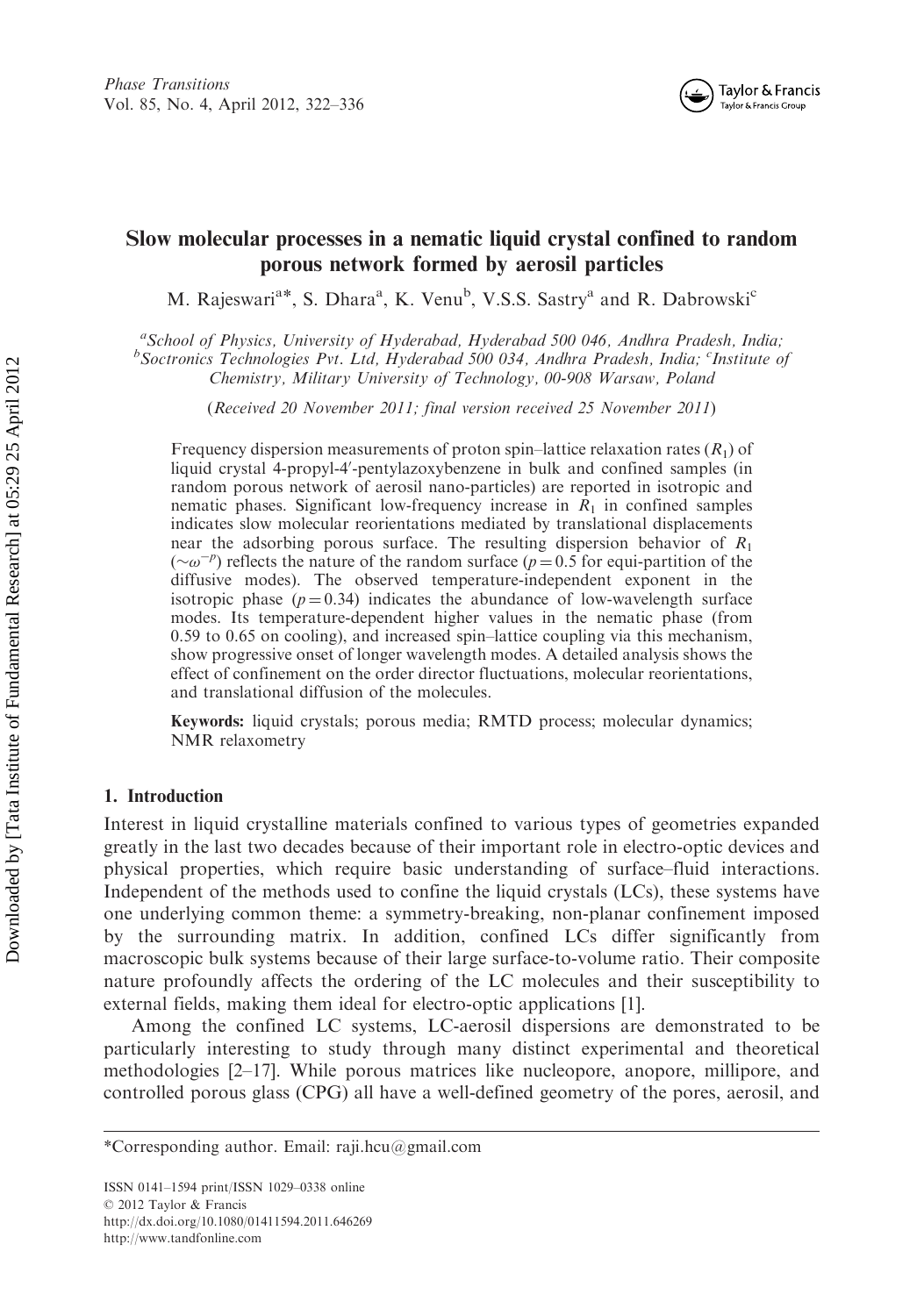

### Slow molecular processes in a nematic liquid crystal confined to random porous network formed by aerosil particles

M. Rajeswari<sup>a\*</sup>, S. Dhara<sup>a</sup>, K. Venu<sup>b</sup>, V.S.S. Sastry<sup>a</sup> and R. Dabrowski<sup>c</sup>

<sup>a</sup> School of Physics, University of Hyderabad, Hyderabad 500 046, Andhra Pradesh, India;<sup>6</sup><br><sup>b</sup> Sectronics Technologies Pyt. Ltd. Hyderabad 500.034, Andhra Pradesh, India;<sup>6</sup>Institute c Soctronics Technologies Pvt. Ltd, Hyderabad 500 034, Andhra Pradesh, India; <sup>c</sup>Institute of Chemistry, Military University of Technology, 00-908 Warsaw, Poland

(Received 20 November 2011; final version received 25 November 2011)

Frequency dispersion measurements of proton spin–lattice relaxation rates  $(R_1)$  of liquid crystal 4-propyl-4'-pentylazoxybenzene in bulk and confined samples (in random porous network of aerosil nano-particles) are reported in isotropic and nematic phases. Significant low-frequency increase in  $R_1$  in confined samples indicates slow molecular reorientations mediated by translational displacements near the adsorbing porous surface. The resulting dispersion behavior of  $R_1$  $({\sim}\omega^{-p})$  reflects the nature of the random surface ( $p = 0.5$  for equi-partition of the diffusive modes). The observed temperature-independent exponent in the isotropic phase  $(p = 0.34)$  indicates the abundance of low-wavelength surface modes. Its temperature-dependent higher values in the nematic phase (from 0.59 to 0.65 on cooling), and increased spin–lattice coupling via this mechanism, show progressive onset of longer wavelength modes. A detailed analysis shows the effect of confinement on the order director fluctuations, molecular reorientations, and translational diffusion of the molecules.

Keywords: liquid crystals; porous media; RMTD process; molecular dynamics; NMR relaxometry

#### 1. Introduction

Interest in liquid crystalline materials confined to various types of geometries expanded greatly in the last two decades because of their important role in electro-optic devices and physical properties, which require basic understanding of surface–fluid interactions. Independent of the methods used to confine the liquid crystals (LCs), these systems have one underlying common theme: a symmetry-breaking, non-planar confinement imposed by the surrounding matrix. In addition, confined LCs differ significantly from macroscopic bulk systems because of their large surface-to-volume ratio. Their composite nature profoundly affects the ordering of the LC molecules and their susceptibility to external fields, making them ideal for electro-optic applications [1].

Among the confined LC systems, LC-aerosil dispersions are demonstrated to be particularly interesting to study through many distinct experimental and theoretical methodologies [2–17]. While porous matrices like nucleopore, anopore, millipore, and controlled porous glass (CPG) all have a well-defined geometry of the pores, aerosil, and

<sup>\*</sup>Corresponding author. Email: raji.hcu@gmail.com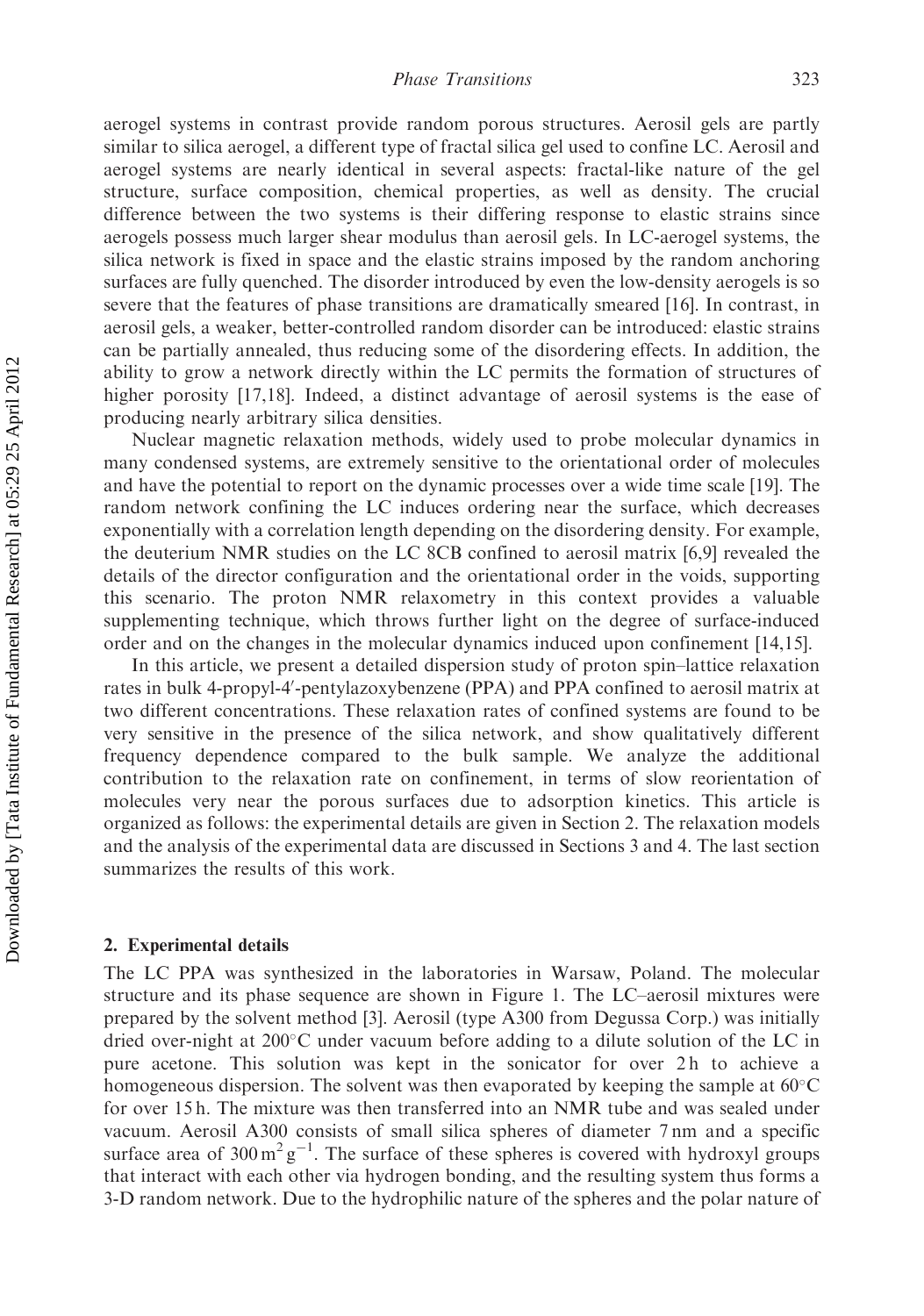aerogel systems in contrast provide random porous structures. Aerosil gels are partly similar to silica aerogel, a different type of fractal silica gel used to confine LC. Aerosil and aerogel systems are nearly identical in several aspects: fractal-like nature of the gel structure, surface composition, chemical properties, as well as density. The crucial difference between the two systems is their differing response to elastic strains since aerogels possess much larger shear modulus than aerosil gels. In LC-aerogel systems, the silica network is fixed in space and the elastic strains imposed by the random anchoring surfaces are fully quenched. The disorder introduced by even the low-density aerogels is so severe that the features of phase transitions are dramatically smeared [16]. In contrast, in aerosil gels, a weaker, better-controlled random disorder can be introduced: elastic strains can be partially annealed, thus reducing some of the disordering effects. In addition, the ability to grow a network directly within the LC permits the formation of structures of higher porosity [17,18]. Indeed, a distinct advantage of aerosil systems is the ease of producing nearly arbitrary silica densities.

Nuclear magnetic relaxation methods, widely used to probe molecular dynamics in many condensed systems, are extremely sensitive to the orientational order of molecules and have the potential to report on the dynamic processes over a wide time scale [19]. The random network confining the LC induces ordering near the surface, which decreases exponentially with a correlation length depending on the disordering density. For example, the deuterium NMR studies on the LC 8CB confined to aerosil matrix [6,9] revealed the details of the director configuration and the orientational order in the voids, supporting this scenario. The proton NMR relaxometry in this context provides a valuable supplementing technique, which throws further light on the degree of surface-induced order and on the changes in the molecular dynamics induced upon confinement [14,15].

In this article, we present a detailed dispersion study of proton spin–lattice relaxation rates in bulk 4-propyl-4'-pentylazoxybenzene (PPA) and PPA confined to aerosil matrix at two different concentrations. These relaxation rates of confined systems are found to be very sensitive in the presence of the silica network, and show qualitatively different frequency dependence compared to the bulk sample. We analyze the additional contribution to the relaxation rate on confinement, in terms of slow reorientation of molecules very near the porous surfaces due to adsorption kinetics. This article is organized as follows: the experimental details are given in Section 2. The relaxation models and the analysis of the experimental data are discussed in Sections 3 and 4. The last section summarizes the results of this work.

#### 2. Experimental details

The LC PPA was synthesized in the laboratories in Warsaw, Poland. The molecular structure and its phase sequence are shown in Figure 1. The LC–aerosil mixtures were prepared by the solvent method [3]. Aerosil (type A300 from Degussa Corp.) was initially dried over-night at  $200^{\circ}$ C under vacuum before adding to a dilute solution of the LC in pure acetone. This solution was kept in the sonicator for over 2h to achieve a homogeneous dispersion. The solvent was then evaporated by keeping the sample at  $60^{\circ}$ C for over 15 h. The mixture was then transferred into an NMR tube and was sealed under vacuum. Aerosil A300 consists of small silica spheres of diameter 7 nm and a specific surface area of  $300 \,\mathrm{m}^2 \mathrm{g}^{-1}$ . The surface of these spheres is covered with hydroxyl groups that interact with each other via hydrogen bonding, and the resulting system thus forms a 3-D random network. Due to the hydrophilic nature of the spheres and the polar nature of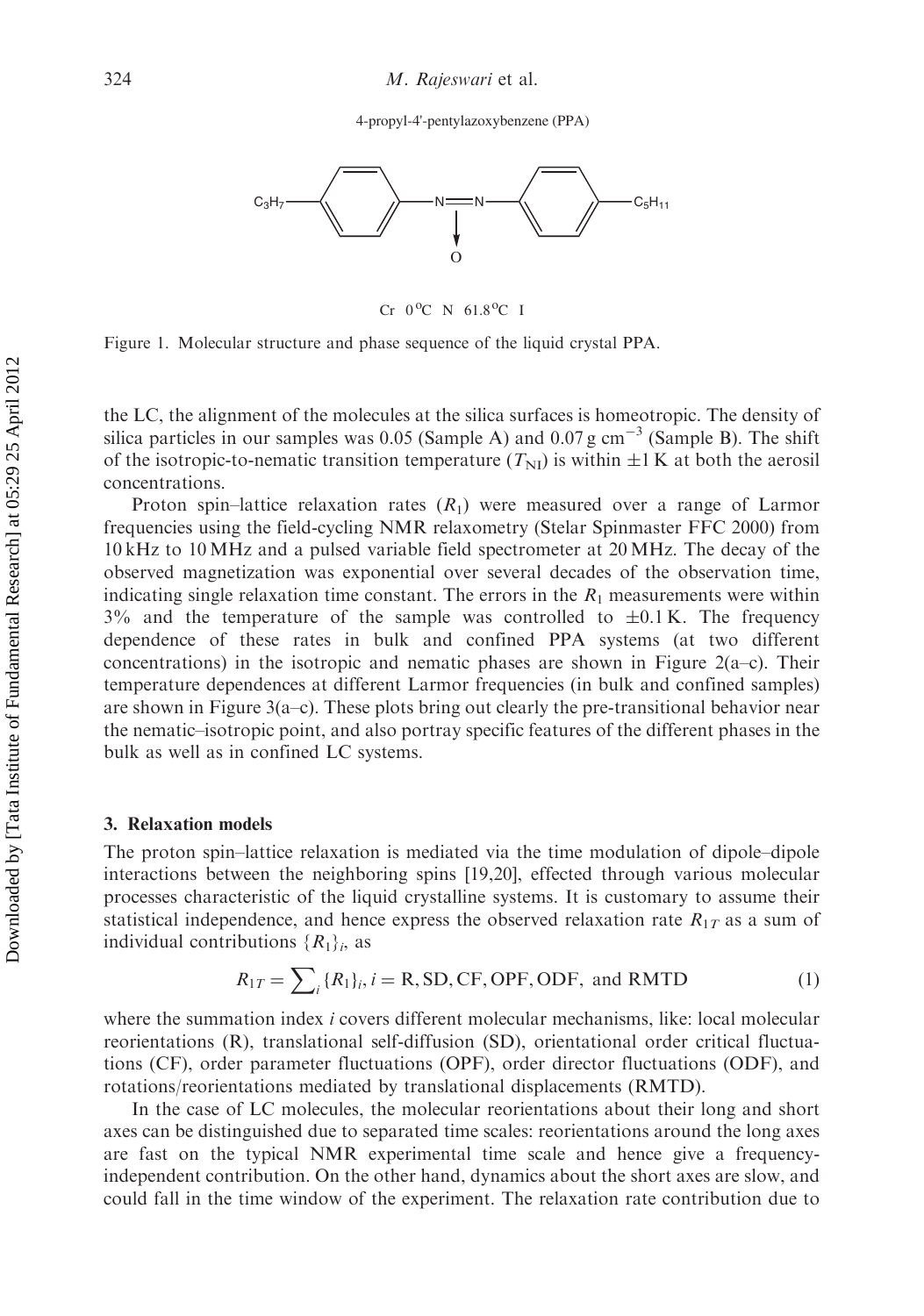4-propyl-4'-pentylazoxybenzene (PPA)



 $Cr$  0<sup>o</sup>C N 61.8<sup>o</sup>C I

Figure 1. Molecular structure and phase sequence of the liquid crystal PPA.

the LC, the alignment of the molecules at the silica surfaces is homeotropic. The density of silica particles in our samples was 0.05 (Sample A) and 0.07 g cm<sup>-3</sup> (Sample B). The shift of the isotropic-to-nematic transition temperature  $(T_{\text{NI}})$  is within  $\pm 1$  K at both the aerosil concentrations.

Proton spin–lattice relaxation rates  $(R_1)$  were measured over a range of Larmor frequencies using the field-cycling NMR relaxometry (Stelar Spinmaster FFC 2000) from 10 kHz to 10 MHz and a pulsed variable field spectrometer at 20 MHz. The decay of the observed magnetization was exponential over several decades of the observation time, indicating single relaxation time constant. The errors in the  $R_1$  measurements were within  $3\%$  and the temperature of the sample was controlled to  $\pm 0.1$  K. The frequency dependence of these rates in bulk and confined PPA systems (at two different concentrations) in the isotropic and nematic phases are shown in Figure 2(a–c). Their temperature dependences at different Larmor frequencies (in bulk and confined samples) are shown in Figure 3(a–c). These plots bring out clearly the pre-transitional behavior near the nematic–isotropic point, and also portray specific features of the different phases in the bulk as well as in confined LC systems.

#### 3. Relaxation models

The proton spin–lattice relaxation is mediated via the time modulation of dipole–dipole interactions between the neighboring spins [19,20], effected through various molecular processes characteristic of the liquid crystalline systems. It is customary to assume their statistical independence, and hence express the observed relaxation rate  $R_{1T}$  as a sum of individual contributions  $\{R_1\}_i$ , as

$$
R_{1T} = \sum_{i} \{R_1\}_i, i = \text{R}, \text{SD}, \text{CF}, \text{OPF}, \text{ODF}, \text{ and RMTD} \tag{1}
$$

where the summation index *i* covers different molecular mechanisms, like: local molecular reorientations (R), translational self-diffusion (SD), orientational order critical fluctuations (CF), order parameter fluctuations (OPF), order director fluctuations (ODF), and rotations/reorientations mediated by translational displacements (RMTD).

In the case of LC molecules, the molecular reorientations about their long and short axes can be distinguished due to separated time scales: reorientations around the long axes are fast on the typical NMR experimental time scale and hence give a frequencyindependent contribution. On the other hand, dynamics about the short axes are slow, and could fall in the time window of the experiment. The relaxation rate contribution due to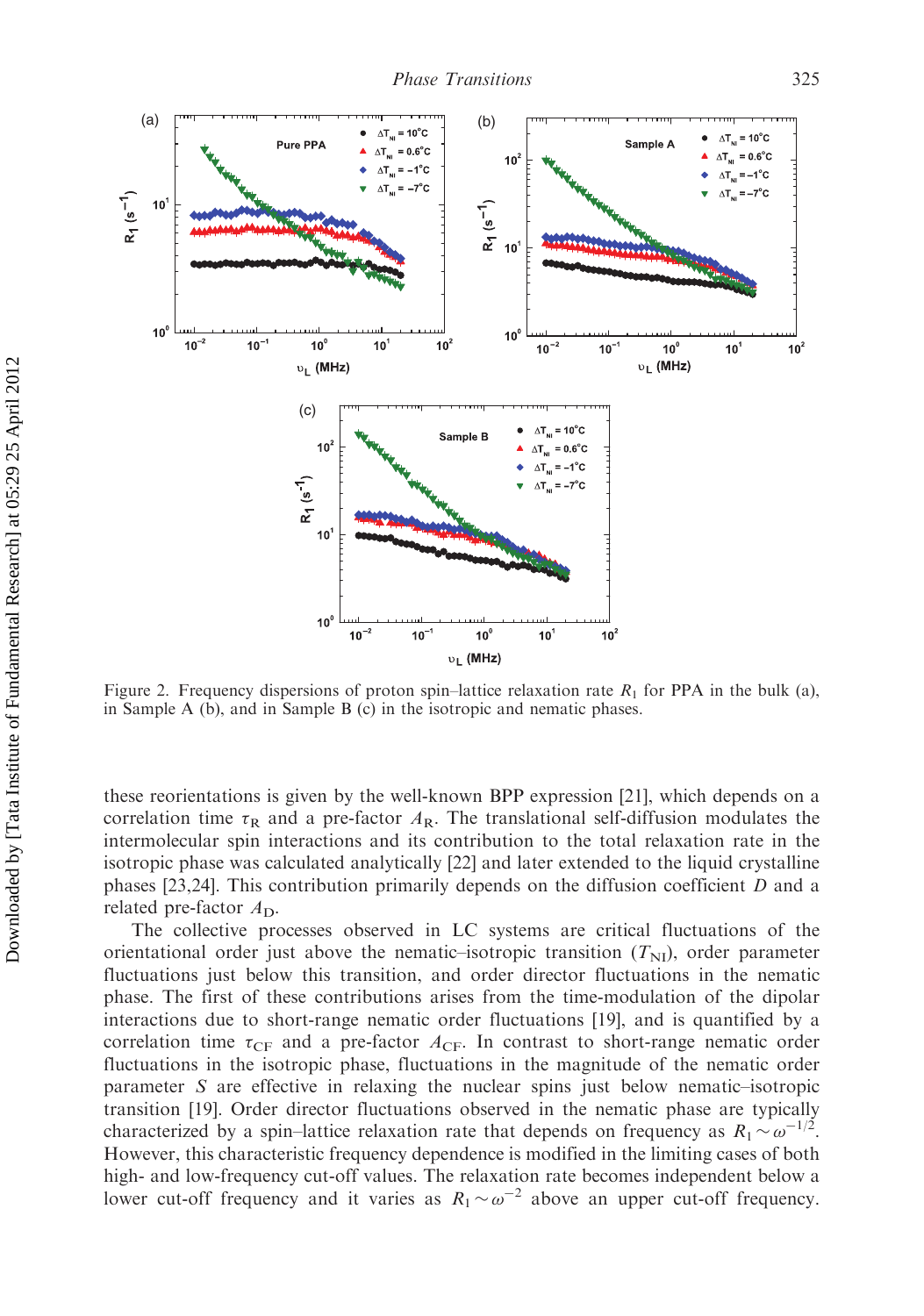

Figure 2. Frequency dispersions of proton spin–lattice relaxation rate  $R_1$  for PPA in the bulk (a), in Sample A (b), and in Sample B (c) in the isotropic and nematic phases.

these reorientations is given by the well-known BPP expression [21], which depends on a correlation time  $\tau_R$  and a pre-factor  $A_R$ . The translational self-diffusion modulates the intermolecular spin interactions and its contribution to the total relaxation rate in the isotropic phase was calculated analytically [22] and later extended to the liquid crystalline phases [23,24]. This contribution primarily depends on the diffusion coefficient D and a related pre-factor  $A_{\text{D}}$ .

The collective processes observed in LC systems are critical fluctuations of the orientational order just above the nematic–isotropic transition  $(T_{\rm NI})$ , order parameter fluctuations just below this transition, and order director fluctuations in the nematic phase. The first of these contributions arises from the time-modulation of the dipolar interactions due to short-range nematic order fluctuations [19], and is quantified by a correlation time  $\tau_{CF}$  and a pre-factor  $A_{CF}$ . In contrast to short-range nematic order fluctuations in the isotropic phase, fluctuations in the magnitude of the nematic order parameter S are effective in relaxing the nuclear spins just below nematic–isotropic transition [19]. Order director fluctuations observed in the nematic phase are typically characterized by a spin–lattice relaxation rate that depends on frequency as  $R_1 \sim \omega^{-1/2}$ . However, this characteristic frequency dependence is modified in the limiting cases of both high- and low-frequency cut-off values. The relaxation rate becomes independent below a lower cut-off frequency and it varies as  $R_1 \sim \omega^{-2}$  above an upper cut-off frequency.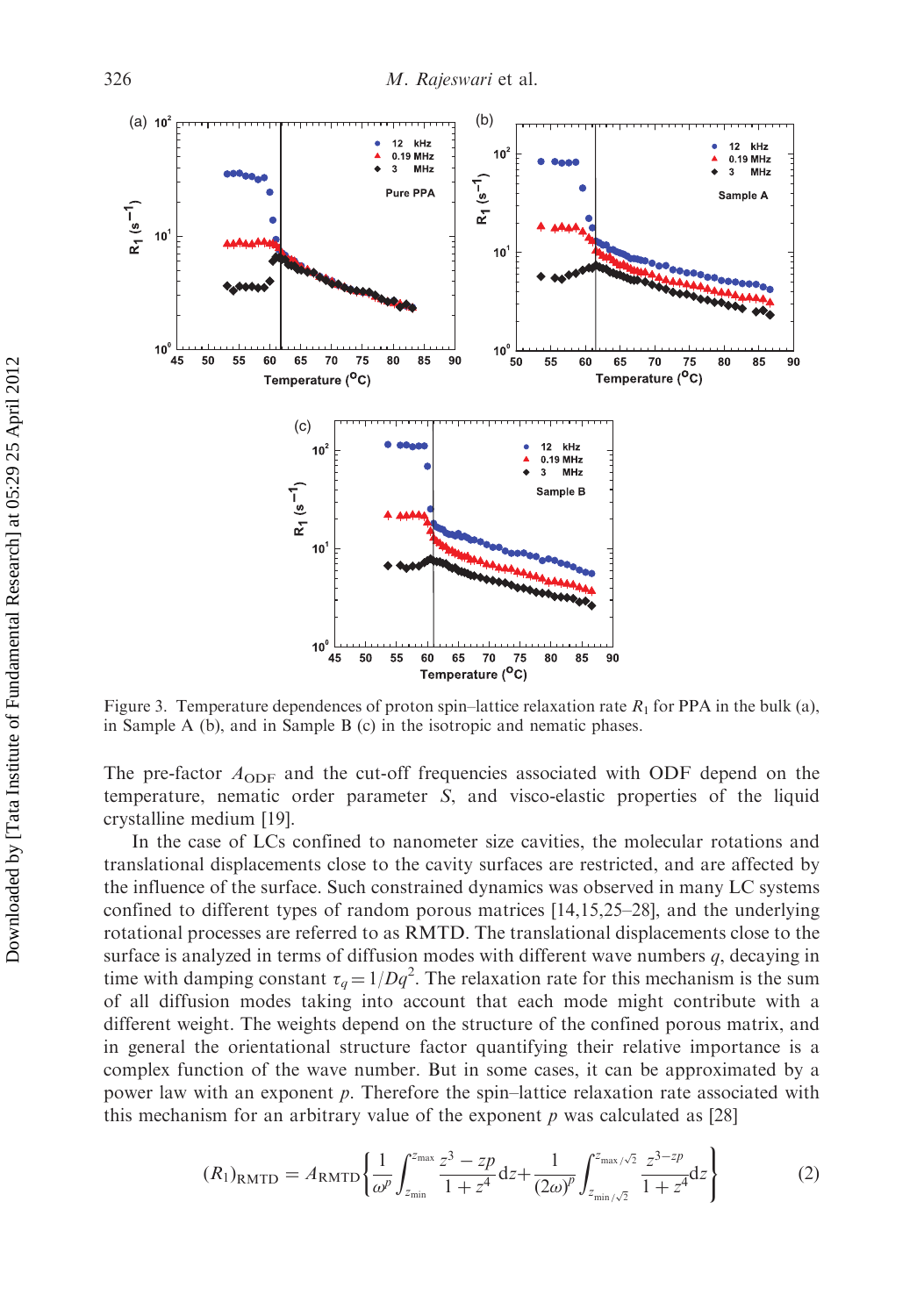

Figure 3. Temperature dependences of proton spin–lattice relaxation rate  $R_1$  for PPA in the bulk (a), in Sample A (b), and in Sample B (c) in the isotropic and nematic phases.

The pre-factor  $A_{ODF}$  and the cut-off frequencies associated with ODF depend on the temperature, nematic order parameter S, and visco-elastic properties of the liquid crystalline medium [19].

In the case of LCs confined to nanometer size cavities, the molecular rotations and translational displacements close to the cavity surfaces are restricted, and are affected by the influence of the surface. Such constrained dynamics was observed in many LC systems confined to different types of random porous matrices [14,15,25–28], and the underlying rotational processes are referred to as RMTD. The translational displacements close to the surface is analyzed in terms of diffusion modes with different wave numbers  $q$ , decaying in time with damping constant  $\tau_q = 1/Dq^2$ . The relaxation rate for this mechanism is the sum of all diffusion modes taking into account that each mode might contribute with a different weight. The weights depend on the structure of the confined porous matrix, and in general the orientational structure factor quantifying their relative importance is a complex function of the wave number. But in some cases, it can be approximated by a power law with an exponent p. Therefore the spin–lattice relaxation rate associated with this mechanism for an arbitrary value of the exponent  $p$  was calculated as [28]

$$
(R_1)_{\text{RMTD}} = A_{\text{RMTD}} \left\{ \frac{1}{\omega^p} \int_{z_{\text{min}}}^{z_{\text{max}}} \frac{z^3 - zp}{1 + z^4} dz + \frac{1}{(2\omega)^p} \int_{z_{\text{min}}/\sqrt{2}}^{z_{\text{max}}/\sqrt{2}} \frac{z^{3 - zp}}{1 + z^4} dz \right\}
$$
(2)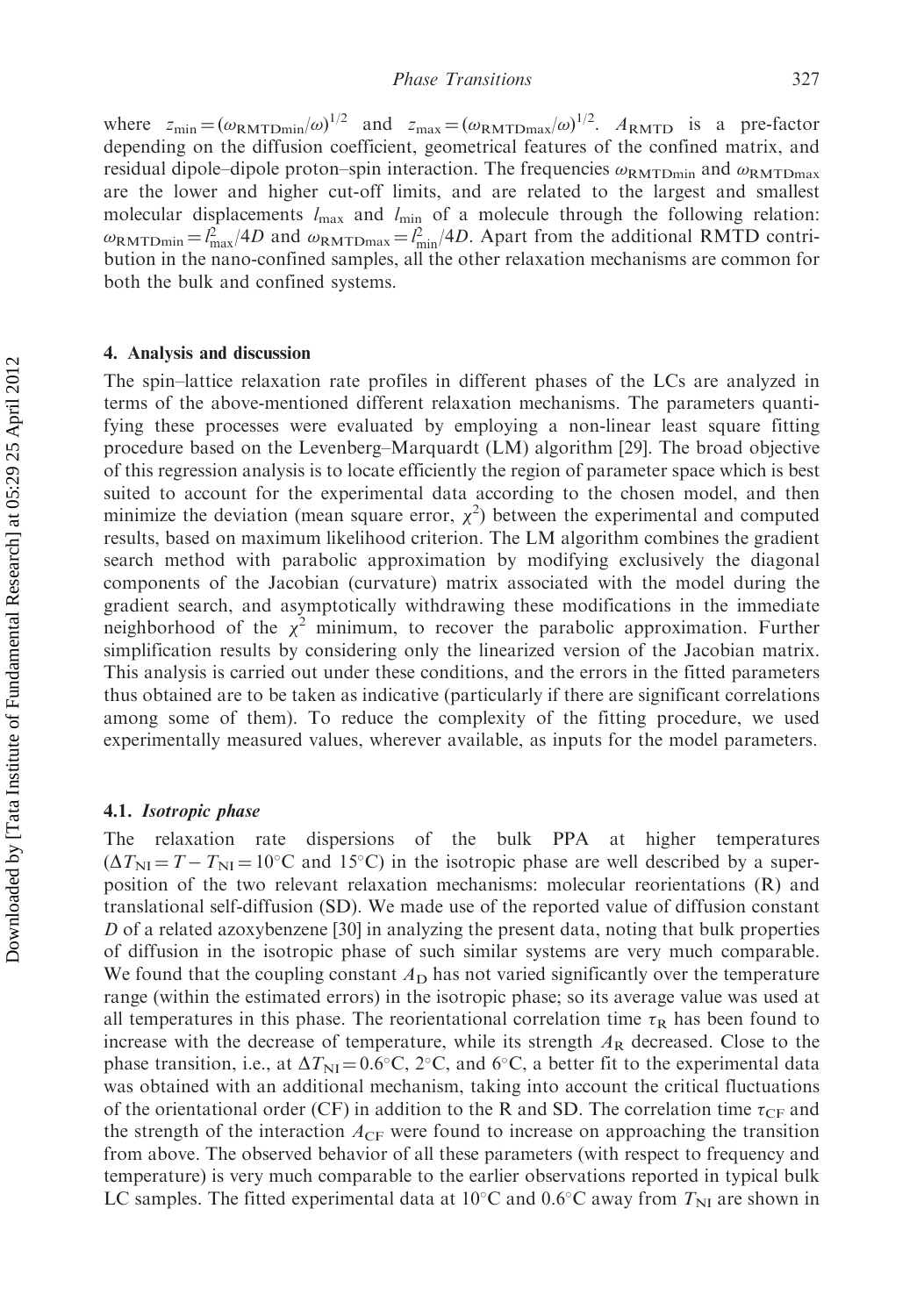where  $z_{\text{min}} = (\omega_{\text{RMTDmin}}/\omega)^{1/2}$  and  $z_{\text{max}} = (\omega_{\text{RMTDmax}}/\omega)^{1/2}$ .  $A_{\text{RMTD}}$  is a pre-factor depending on the diffusion coefficient, geometrical features of the confined matrix, and residual dipole–dipole proton–spin interaction. The frequencies  $\omega_{\rm RMTDmin}$  and  $\omega_{\rm RMTDmax}$ are the lower and higher cut-off limits, and are related to the largest and smallest molecular displacements  $l_{\text{max}}$  and  $l_{\text{min}}$  of a molecule through the following relation:  $\omega_{\text{RMTDmin}} = l_{\text{max}}^2/4D$  and  $\omega_{\text{RMTDmax}} = l_{\text{min}}^2/4D$ . Apart from the additional RMTD contribution in the nano-confined samples, all the other relaxation mechanisms are common for both the bulk and confined systems.

#### 4. Analysis and discussion

The spin–lattice relaxation rate profiles in different phases of the LCs are analyzed in terms of the above-mentioned different relaxation mechanisms. The parameters quantifying these processes were evaluated by employing a non-linear least square fitting procedure based on the Levenberg–Marquardt (LM) algorithm [29]. The broad objective of this regression analysis is to locate efficiently the region of parameter space which is best suited to account for the experimental data according to the chosen model, and then minimize the deviation (mean square error,  $\chi^2$ ) between the experimental and computed results, based on maximum likelihood criterion. The LM algorithm combines the gradient search method with parabolic approximation by modifying exclusively the diagonal components of the Jacobian (curvature) matrix associated with the model during the gradient search, and asymptotically withdrawing these modifications in the immediate neighborhood of the  $\chi^2$  minimum, to recover the parabolic approximation. Further simplification results by considering only the linearized version of the Jacobian matrix. This analysis is carried out under these conditions, and the errors in the fitted parameters thus obtained are to be taken as indicative (particularly if there are significant correlations among some of them). To reduce the complexity of the fitting procedure, we used experimentally measured values, wherever available, as inputs for the model parameters.

#### 4.1. Isotropic phase

The relaxation rate dispersions of the bulk PPA at higher temperatures  $(\Delta T_{\text{NI}} = T - T_{\text{NI}} = 10^{\circ} \text{C}$  and 15<sup>o</sup>C) in the isotropic phase are well described by a superposition of the two relevant relaxation mechanisms: molecular reorientations (R) and translational self-diffusion (SD). We made use of the reported value of diffusion constant D of a related azoxybenzene [30] in analyzing the present data, noting that bulk properties of diffusion in the isotropic phase of such similar systems are very much comparable. We found that the coupling constant  $A<sub>D</sub>$  has not varied significantly over the temperature range (within the estimated errors) in the isotropic phase; so its average value was used at all temperatures in this phase. The reorientational correlation time  $\tau_R$  has been found to increase with the decrease of temperature, while its strength  $A<sub>R</sub>$  decreased. Close to the phase transition, i.e., at  $\Delta T_{\text{NI}} = 0.6^{\circ}\text{C}$ ,  $2^{\circ}\text{C}$ , and  $6^{\circ}\text{C}$ , a better fit to the experimental data was obtained with an additional mechanism, taking into account the critical fluctuations of the orientational order (CF) in addition to the R and SD. The correlation time  $\tau_{CF}$  and the strength of the interaction  $A_{CF}$  were found to increase on approaching the transition from above. The observed behavior of all these parameters (with respect to frequency and temperature) is very much comparable to the earlier observations reported in typical bulk LC samples. The fitted experimental data at 10°C and 0.6°C away from  $T_{\text{NI}}$  are shown in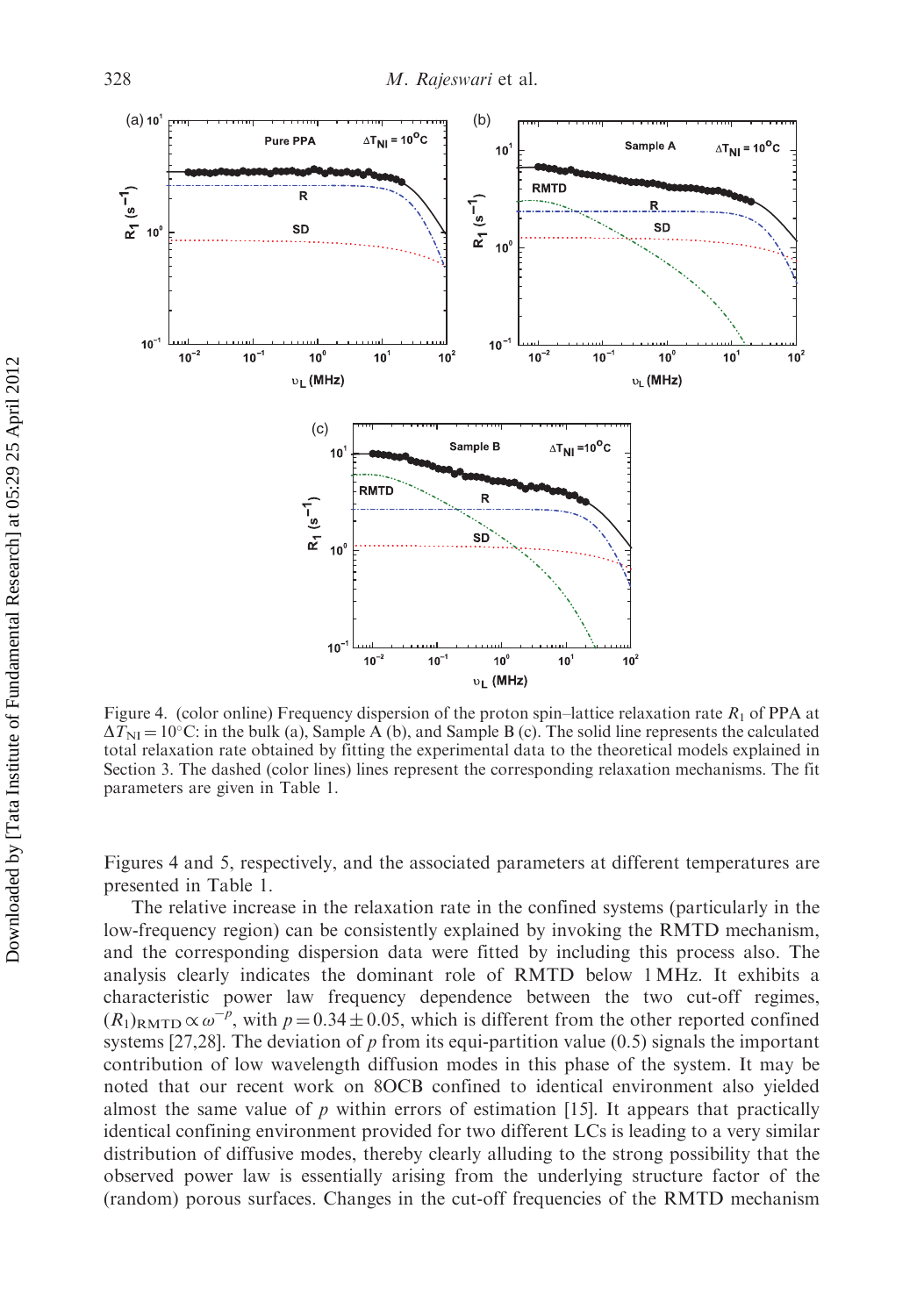

Figure 4. (color online) Frequency dispersion of the proton spin–lattice relaxation rate  $R_1$  of PPA at  $\Delta T_{\text{NI}} = 10^{\circ}\text{C}$ : in the bulk (a), Sample A (b), and Sample B (c). The solid line represents the calculated total relaxation rate obtained by fitting the experimental data to the theoretical models explained in Section 3. The dashed (color lines) lines represent the corresponding relaxation mechanisms. The fit parameters are given in Table 1.

Figures 4 and 5, respectively, and the associated parameters at different temperatures are presented in Table 1.

The relative increase in the relaxation rate in the confined systems (particularly in the low-frequency region) can be consistently explained by invoking the RMTD mechanism, and the corresponding dispersion data were fitted by including this process also. The analysis clearly indicates the dominant role of RMTD below 1 MHz. It exhibits a characteristic power law frequency dependence between the two cut-off regimes,  $(R_1)_{\text{RMTD}} \propto \omega^{-p}$ , with  $p = 0.34 \pm 0.05$ , which is different from the other reported confined systems [27,28]. The deviation of p from its equi-partition value (0.5) signals the important contribution of low wavelength diffusion modes in this phase of the system. It may be noted that our recent work on 8OCB confined to identical environment also yielded almost the same value of  $p$  within errors of estimation [15]. It appears that practically identical confining environment provided for two different LCs is leading to a very similar distribution of diffusive modes, thereby clearly alluding to the strong possibility that the observed power law is essentially arising from the underlying structure factor of the (random) porous surfaces. Changes in the cut-off frequencies of the RMTD mechanism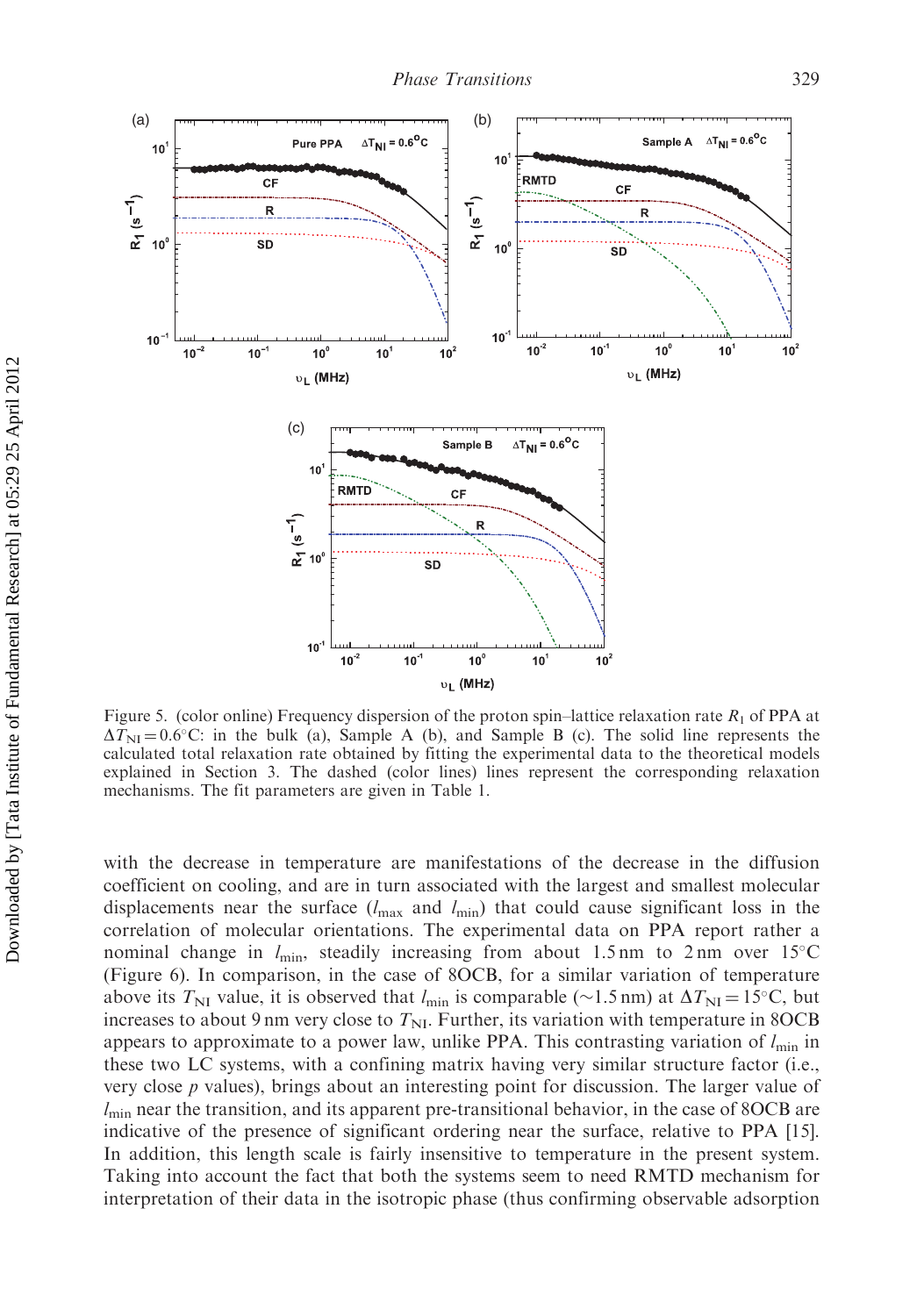

Figure 5. (color online) Frequency dispersion of the proton spin–lattice relaxation rate  $R_1$  of PPA at  $\Delta T_{\text{NI}} = 0.6^{\circ}\text{C}$ : in the bulk (a), Sample A (b), and Sample B (c). The solid line represents the calculated total relaxation rate obtained by fitting the experimental data to the theoretical models explained in Section 3. The dashed (color lines) lines represent the corresponding relaxation mechanisms. The fit parameters are given in Table 1.

with the decrease in temperature are manifestations of the decrease in the diffusion coefficient on cooling, and are in turn associated with the largest and smallest molecular displacements near the surface  $(l_{\text{max}}$  and  $l_{\text{min}}$ ) that could cause significant loss in the correlation of molecular orientations. The experimental data on PPA report rather a nominal change in  $l_{\text{min}}$ , steadily increasing from about 1.5 nm to 2 nm over 15°C (Figure 6). In comparison, in the case of 8OCB, for a similar variation of temperature above its  $T_{\text{NI}}$  value, it is observed that  $l_{\text{min}}$  is comparable (~1.5 nm) at  $\Delta T_{\text{NI}} = 15^{\circ}\text{C}$ , but increases to about 9 nm very close to  $T_{\text{NL}}$ . Further, its variation with temperature in 8OCB appears to approximate to a power law, unlike PPA. This contrasting variation of  $l_{\min}$  in these two LC systems, with a confining matrix having very similar structure factor (i.e., very close p values), brings about an interesting point for discussion. The larger value of  $l<sub>min</sub>$  near the transition, and its apparent pre-transitional behavior, in the case of 8OCB are indicative of the presence of significant ordering near the surface, relative to PPA [15]. In addition, this length scale is fairly insensitive to temperature in the present system. Taking into account the fact that both the systems seem to need RMTD mechanism for interpretation of their data in the isotropic phase (thus confirming observable adsorption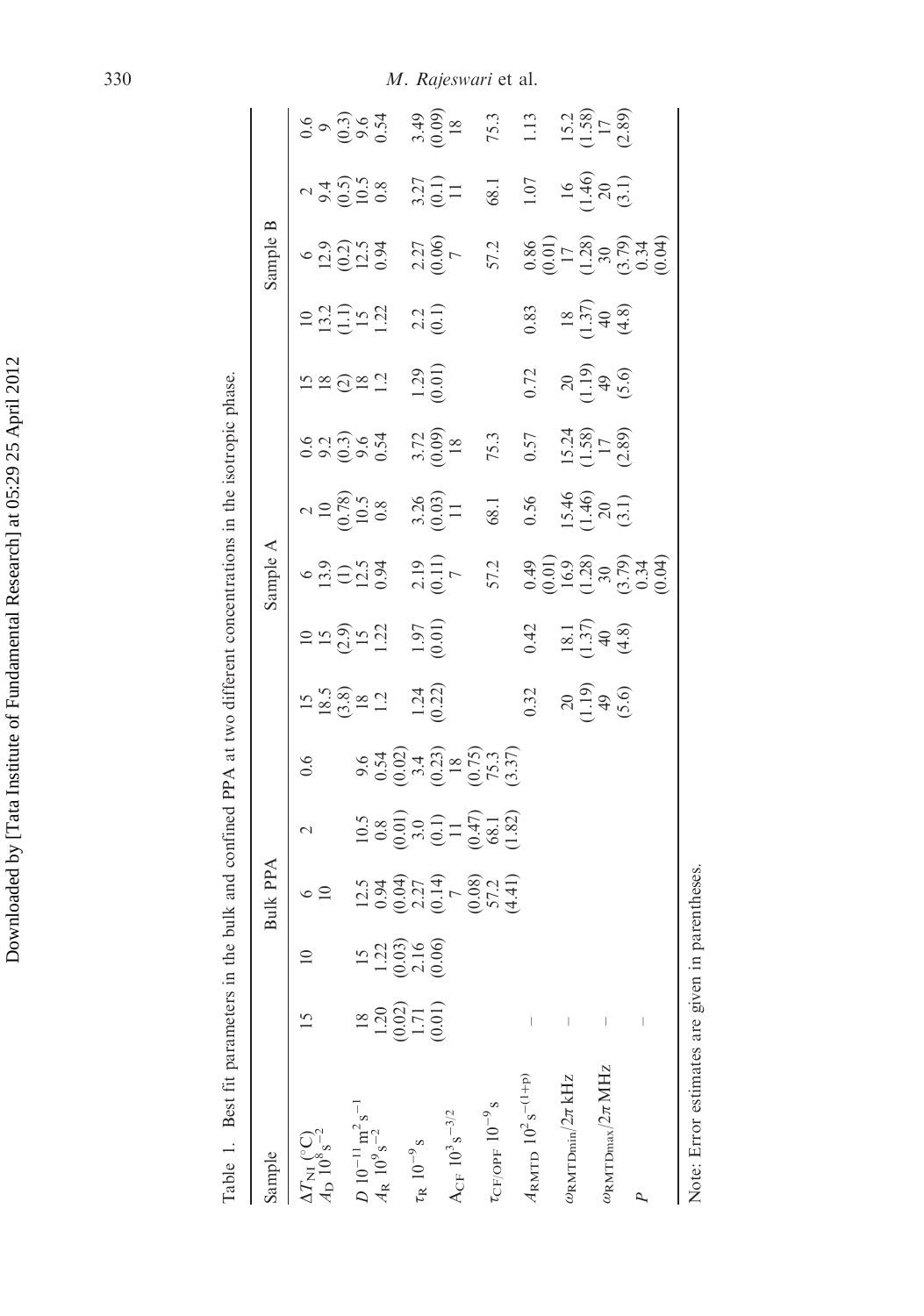| Table 1. Best fit parameters in the                                                                           |                                                             |                                           | bulk and confined PPA at two different concentrations in the isotropic phase. |                                                                                                                              |                                                      |                                                              |                                              |                                                     |                                                                                                       |                                                                       |                                                |                                                |                                                                                                                                                 |                                                                                                                                                             |                                |
|---------------------------------------------------------------------------------------------------------------|-------------------------------------------------------------|-------------------------------------------|-------------------------------------------------------------------------------|------------------------------------------------------------------------------------------------------------------------------|------------------------------------------------------|--------------------------------------------------------------|----------------------------------------------|-----------------------------------------------------|-------------------------------------------------------------------------------------------------------|-----------------------------------------------------------------------|------------------------------------------------|------------------------------------------------|-------------------------------------------------------------------------------------------------------------------------------------------------|-------------------------------------------------------------------------------------------------------------------------------------------------------------|--------------------------------|
| Sample                                                                                                        |                                                             |                                           | Bulk PPA                                                                      |                                                                                                                              |                                                      |                                                              |                                              | Sample $A$                                          |                                                                                                       |                                                                       |                                                |                                                | $\approx$<br>Sample                                                                                                                             |                                                                                                                                                             |                                |
| $\frac{\Delta T_{\rm NI}}{A_{\rm D}}\mathop{\hspace{0.02cm}}\limits^{({}^\circ{\rm C})}_{10^8\,{\rm s}^{-2}}$ |                                                             |                                           | $\circ$ $\supseteq$                                                           | $\mathcal{L}$                                                                                                                | 0.6                                                  |                                                              |                                              |                                                     |                                                                                                       |                                                                       |                                                |                                                |                                                                                                                                                 |                                                                                                                                                             |                                |
|                                                                                                               |                                                             |                                           |                                                                               |                                                                                                                              |                                                      |                                                              |                                              |                                                     |                                                                                                       |                                                                       |                                                |                                                |                                                                                                                                                 |                                                                                                                                                             |                                |
| $D 10^{-11}$ m <sup>2</sup> s <sup>-1</sup><br>$A_R 10^9$ s <sup>-2</sup>                                     |                                                             |                                           |                                                                               |                                                                                                                              | 9.6<br>0.54<br>0.02)<br>0.75<br>0.75<br>0.75<br>0.75 | $15$<br>$18.5$<br>$(3.8)$<br>$2$<br>$12$<br>$1.32$<br>$1.22$ | $100$<br>$150$<br>$1.21$<br>$1.97$<br>$1.97$ | $6$<br>13.9<br>12.5<br>10.94<br>2.19<br>7.2<br>57.2 | $\begin{array}{cc}\n 2 & 0 \\  10 & 78 \\  10.5 \\  0.8 \\  0.8 \\  0.03 \\  0.03 \\  1\n\end{array}$ | $0.6$<br>$0.3$<br>$0.5$<br>$0.5$<br>$0.5$<br>$0.5$<br>$0.09$<br>$0.8$ | $12 \times 20 \times 1.29$<br>$12 \times 1.29$ | $13.2$<br>$13.2$<br>$15.2$<br>$15.2$<br>$15.2$ | $6$<br>$12.9$<br>$12.5$<br>$12.5$<br>$12.5$<br>$12.5$<br>$12.5$<br>$12.5$<br>$12.5$<br>$12.5$<br>$12.5$<br>$12.5$<br>$12.5$<br>$12.5$<br>$12.5$ | $2\overline{)9\overline{)0.50}}$<br>$9\overline{)0.58}$<br>$0.5\overline{)1.71}$<br>$0.5\overline{)1.71}$<br>$0.5\overline{)1.71}$<br>$0.5\overline{)1.71}$ |                                |
|                                                                                                               |                                                             |                                           |                                                                               |                                                                                                                              |                                                      |                                                              |                                              |                                                     |                                                                                                       |                                                                       |                                                |                                                |                                                                                                                                                 |                                                                                                                                                             |                                |
|                                                                                                               | $\begin{array}{c} 1.20 \\ 0.02 \\ 1.71 \\ 0.01 \end{array}$ | $12,000$<br>$-0.03$<br>$-0.06$<br>$-0.06$ |                                                                               |                                                                                                                              |                                                      |                                                              |                                              |                                                     |                                                                                                       |                                                                       |                                                |                                                |                                                                                                                                                 |                                                                                                                                                             |                                |
| $\rm \tau_R$ $\rm 10^{-9}\rm \, s$                                                                            |                                                             |                                           |                                                                               |                                                                                                                              |                                                      |                                                              |                                              |                                                     |                                                                                                       |                                                                       |                                                |                                                |                                                                                                                                                 |                                                                                                                                                             |                                |
|                                                                                                               |                                                             |                                           |                                                                               |                                                                                                                              |                                                      |                                                              |                                              |                                                     |                                                                                                       |                                                                       |                                                |                                                |                                                                                                                                                 |                                                                                                                                                             |                                |
| $A_{CF} 10^3 s^{-3/2}$                                                                                        |                                                             |                                           |                                                                               | $\begin{array}{c} 10.5 \\ 0.8 \\ 0.01 \\ 0.01 \\ 0.1) \\ 0.1 \\ 0.47 \\ 0.81 \\ 0.82 \\ 0.82 \\ 0.82 \\ 0.83 \\ \end{array}$ |                                                      |                                                              |                                              |                                                     |                                                                                                       |                                                                       |                                                |                                                |                                                                                                                                                 |                                                                                                                                                             | $3.49$<br>$(0.09)$             |
|                                                                                                               |                                                             |                                           |                                                                               |                                                                                                                              |                                                      |                                                              |                                              |                                                     |                                                                                                       |                                                                       |                                                |                                                |                                                                                                                                                 |                                                                                                                                                             |                                |
| $\tau_{\rm CF/OFF}$ $10^{-9}\,\rm s$                                                                          |                                                             |                                           |                                                                               |                                                                                                                              |                                                      |                                                              |                                              |                                                     |                                                                                                       | 75.3                                                                  |                                                |                                                |                                                                                                                                                 |                                                                                                                                                             | 75.3                           |
|                                                                                                               |                                                             |                                           |                                                                               |                                                                                                                              |                                                      |                                                              |                                              |                                                     |                                                                                                       |                                                                       |                                                |                                                |                                                                                                                                                 |                                                                                                                                                             |                                |
| $A_{\rm RMTD} 10^2 s^{-(1+p)}$                                                                                |                                                             |                                           |                                                                               |                                                                                                                              |                                                      | $0.32$<br>$20$<br>$(1.9)$<br>$(5.6)$                         | 0.42<br>18.1<br>1.37)<br>4.8)<br>(4.8)       |                                                     | $0.56$<br>15.46<br>1.46)<br>20<br>3.1)                                                                | $\begin{array}{c} 0.57 \\ 15.24 \\ 1.58 \\ 1.8 \\ 2.89 \end{array}$   | 0.72                                           | 0.83<br>$18$<br>$1.37$<br>$4.8$<br>$4.8$       | $\begin{array}{c} 0.86 \\ 0.01 \\ 1.7 \\ 1.28 \\ 3.0 \\ 0.34 \\ 0.34 \\ 0.04 \end{array}$                                                       | $1.07$<br>$1.46$<br>$1.46$<br>$2.1$                                                                                                                         | 1.13                           |
| $\omega_{\rm RMTDmin}/2\pi\,{\rm kHz}$                                                                        |                                                             |                                           |                                                                               |                                                                                                                              |                                                      |                                                              |                                              |                                                     |                                                                                                       |                                                                       | $20$<br>$(1.9)$<br>$(5.0)$                     |                                                |                                                                                                                                                 |                                                                                                                                                             | $15.2$<br>$(1.58)$<br>$(1.59)$ |
|                                                                                                               |                                                             |                                           |                                                                               |                                                                                                                              |                                                      |                                                              |                                              |                                                     |                                                                                                       |                                                                       |                                                |                                                |                                                                                                                                                 |                                                                                                                                                             |                                |
| $\omega_{\rm RMTDmax}/2\pi$ MHz                                                                               |                                                             |                                           |                                                                               |                                                                                                                              |                                                      |                                                              |                                              |                                                     |                                                                                                       |                                                                       |                                                |                                                |                                                                                                                                                 |                                                                                                                                                             |                                |
|                                                                                                               |                                                             |                                           |                                                                               |                                                                                                                              |                                                      |                                                              |                                              |                                                     |                                                                                                       |                                                                       |                                                |                                                |                                                                                                                                                 |                                                                                                                                                             |                                |
| Q                                                                                                             |                                                             |                                           |                                                                               |                                                                                                                              |                                                      |                                                              |                                              |                                                     |                                                                                                       |                                                                       |                                                |                                                |                                                                                                                                                 |                                                                                                                                                             |                                |
|                                                                                                               |                                                             |                                           |                                                                               |                                                                                                                              |                                                      |                                                              |                                              |                                                     |                                                                                                       |                                                                       |                                                |                                                |                                                                                                                                                 |                                                                                                                                                             |                                |
|                                                                                                               |                                                             |                                           |                                                                               |                                                                                                                              |                                                      |                                                              |                                              |                                                     |                                                                                                       |                                                                       |                                                |                                                |                                                                                                                                                 |                                                                                                                                                             |                                |

Note: Error estimates are given in parentheses.

Note: Error estimates are given in parentheses.

330 M. Rajeswari et al.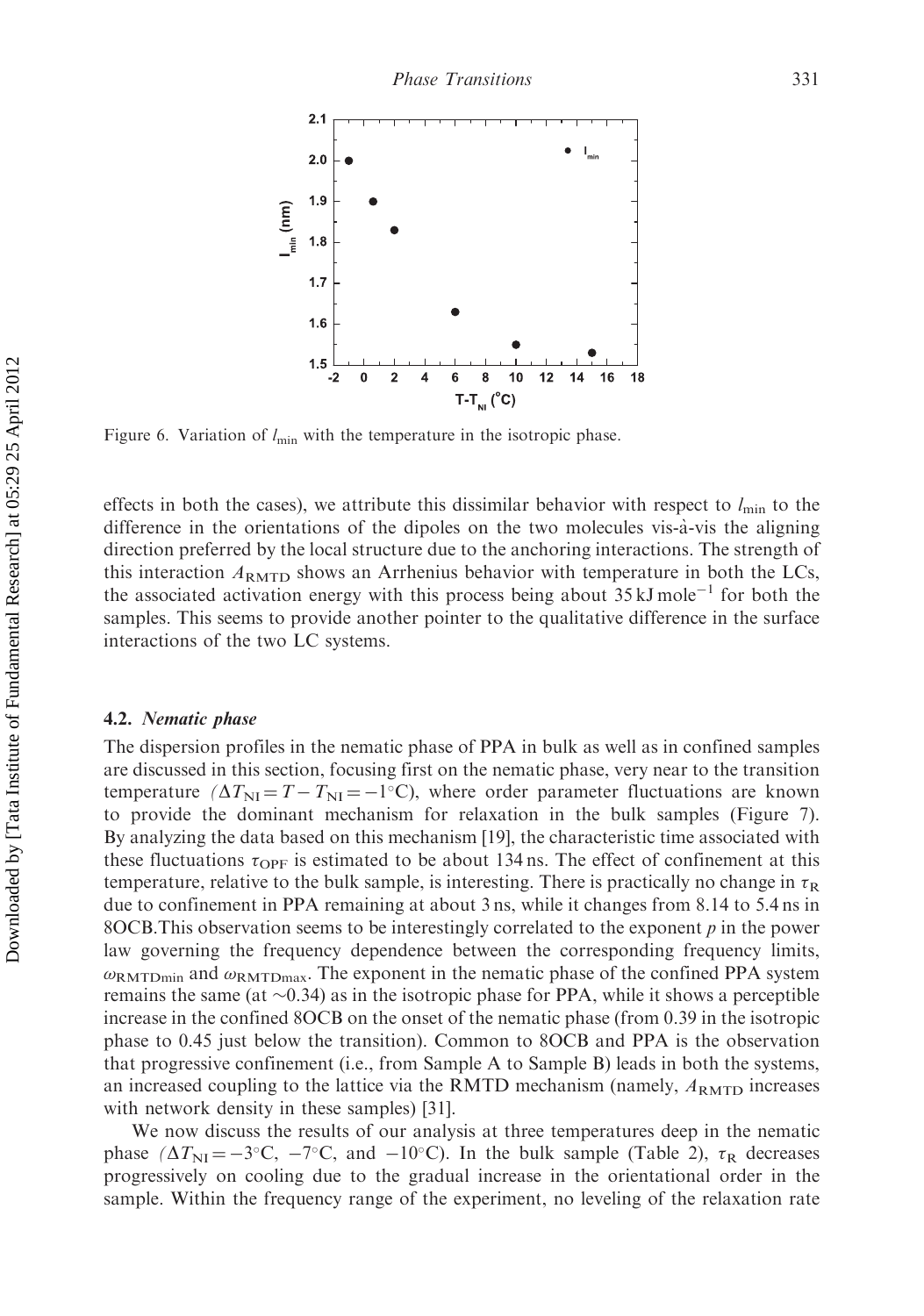

Figure 6. Variation of  $l_{\min}$  with the temperature in the isotropic phase.

effects in both the cases), we attribute this dissimilar behavior with respect to  $l_{\text{min}}$  to the difference in the orientations of the dipoles on the two molecules vis-à-vis the aligning direction preferred by the local structure due to the anchoring interactions. The strength of this interaction  $A_{\text{RMTD}}$  shows an Arrhenius behavior with temperature in both the LCs, the associated activation energy with this process being about  $35 \text{ kJ} \text{ mole}^{-1}$  for both the samples. This seems to provide another pointer to the qualitative difference in the surface interactions of the two LC systems.

#### 4.2. Nematic phase

The dispersion profiles in the nematic phase of PPA in bulk as well as in confined samples are discussed in this section, focusing first on the nematic phase, very near to the transition temperature  $(\Delta T_{\text{NI}} = T - T_{\text{NI}} = -1$ °C), where order parameter fluctuations are known to provide the dominant mechanism for relaxation in the bulk samples (Figure 7). By analyzing the data based on this mechanism [19], the characteristic time associated with these fluctuations  $\tau_{\text{OPF}}$  is estimated to be about 134 ns. The effect of confinement at this temperature, relative to the bulk sample, is interesting. There is practically no change in  $\tau_R$ due to confinement in PPA remaining at about 3 ns, while it changes from 8.14 to 5.4 ns in 8OCB. This observation seems to be interestingly correlated to the exponent  $p$  in the power law governing the frequency dependence between the corresponding frequency limits,  $\omega_{\text{RMTDmin}}$  and  $\omega_{\text{RMTDmax}}$ . The exponent in the nematic phase of the confined PPA system remains the same (at  $\sim$ 0.34) as in the isotropic phase for PPA, while it shows a perceptible increase in the confined 8OCB on the onset of the nematic phase (from 0.39 in the isotropic phase to 0.45 just below the transition). Common to 8OCB and PPA is the observation that progressive confinement (i.e., from Sample A to Sample B) leads in both the systems, an increased coupling to the lattice via the RMTD mechanism (namely,  $A_{RMTD}$  increases with network density in these samples) [31].

We now discuss the results of our analysis at three temperatures deep in the nematic phase  $(\Delta T_{\text{NI}} = -3^{\circ}\text{C}, -7^{\circ}\text{C}, \text{ and } -10^{\circ}\text{C})$ . In the bulk sample (Table 2),  $\tau_R$  decreases progressively on cooling due to the gradual increase in the orientational order in the sample. Within the frequency range of the experiment, no leveling of the relaxation rate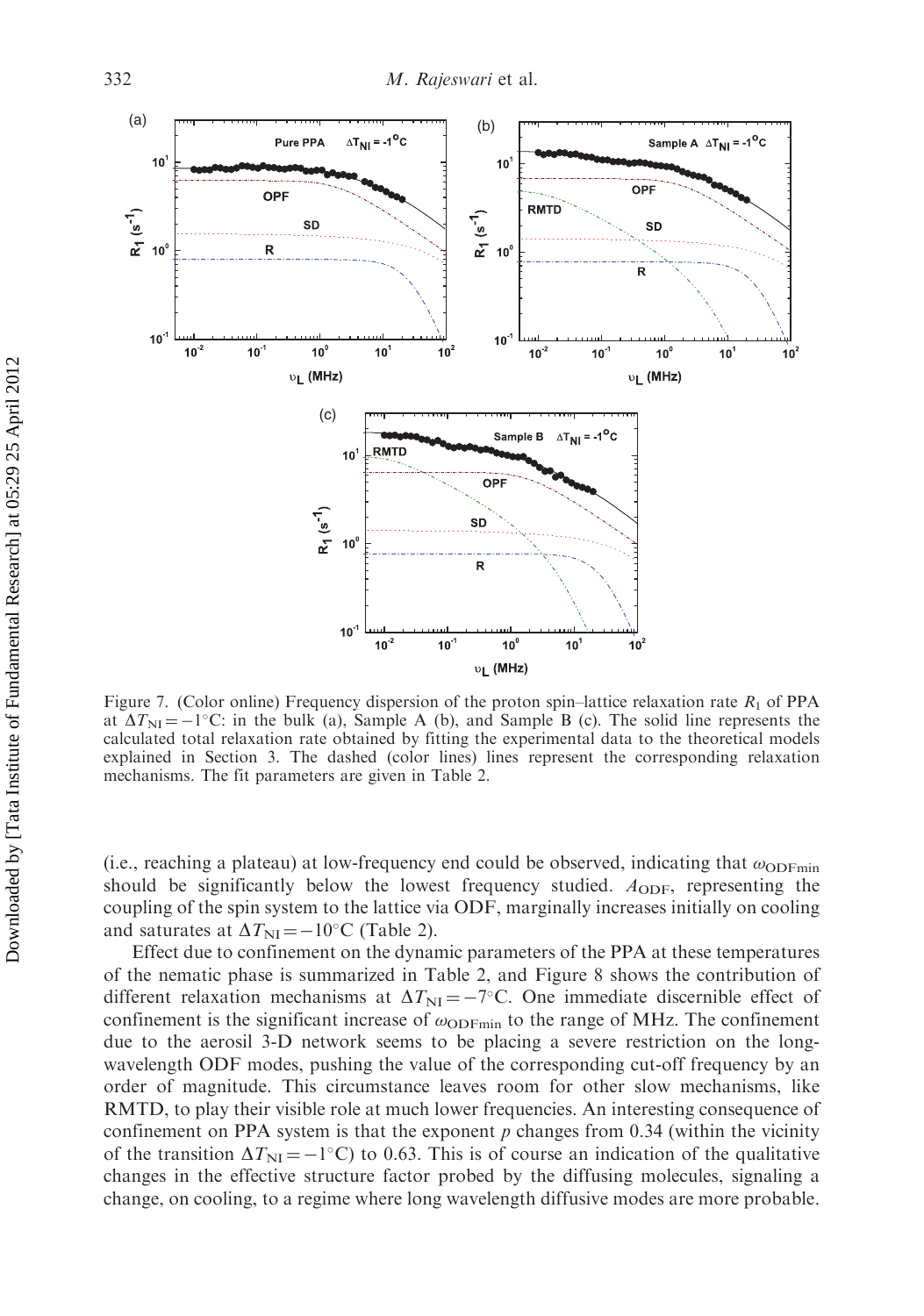

Figure 7. (Color online) Frequency dispersion of the proton spin–lattice relaxation rate  $R_1$  of PPA at  $\Delta T_{\text{NI}} = -1^{\circ}\text{C}$ : in the bulk (a), Sample A (b), and Sample B (c). The solid line represents the calculated total relaxation rate obtained by fitting the experimental data to the theoretical models explained in Section 3. The dashed (color lines) lines represent the corresponding relaxation mechanisms. The fit parameters are given in Table 2.

(i.e., reaching a plateau) at low-frequency end could be observed, indicating that  $\omega_{ODFmin}$ should be significantly below the lowest frequency studied.  $A_{ODF}$ , representing the coupling of the spin system to the lattice via ODF, marginally increases initially on cooling and saturates at  $\Delta T_{\text{NI}} = -10^{\circ} \text{C}$  (Table 2).

Effect due to confinement on the dynamic parameters of the PPA at these temperatures of the nematic phase is summarized in Table 2, and Figure 8 shows the contribution of different relaxation mechanisms at  $\Delta T_{\text{NI}} = -7^{\circ}$ C. One immediate discernible effect of confinement is the significant increase of  $\omega_{\text{ODFmin}}$  to the range of MHz. The confinement due to the aerosil 3-D network seems to be placing a severe restriction on the longwavelength ODF modes, pushing the value of the corresponding cut-off frequency by an order of magnitude. This circumstance leaves room for other slow mechanisms, like RMTD, to play their visible role at much lower frequencies. An interesting consequence of confinement on PPA system is that the exponent  $p$  changes from 0.34 (within the vicinity of the transition  $\Delta T_{\text{NI}} = -1^{\circ}\text{C}$  to 0.63. This is of course an indication of the qualitative changes in the effective structure factor probed by the diffusing molecules, signaling a change, on cooling, to a regime where long wavelength diffusive modes are more probable.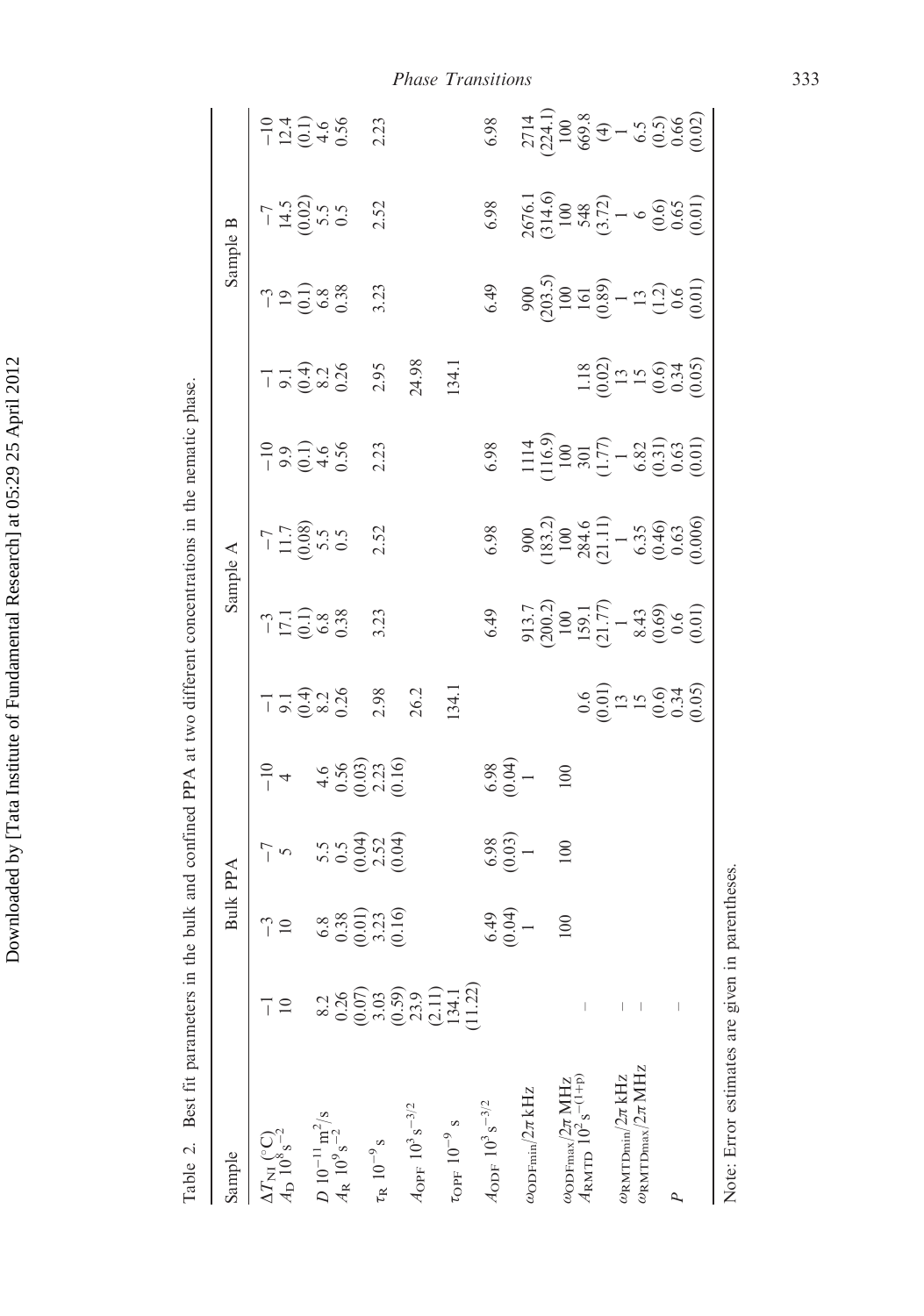| $\overline{\phantom{a}}$<br>ł |
|-------------------------------|
| $\ddot{\phantom{0}}$<br>י     |
| l                             |
| ŧ                             |
| .<br>.<br>ı                   |
| しくく                           |
|                               |
|                               |
| I<br>1<br>I                   |
| i                             |
|                               |
|                               |
| ļ                             |
|                               |
|                               |
|                               |
| l                             |
| ا<br>ا<br>ţ                   |
|                               |
|                               |
|                               |
| I                             |
|                               |
| $\frac{1}{4}$                 |
| ļ<br>l                        |
|                               |
|                               |
|                               |
|                               |
| ļ<br>֚                        |

 $2714$ <br>  $224.1$ )<br>  $100$ <br>  $669.8$ <br>  $669.8$ <br>  $-5.5$ <br>  $-5.5$ <br>  $-5.6$ <br>  $-5.6$ <br>  $-5.6$  $(200.2)$   $(183.2)$   $(116.9)$   $(203.5)$   $(314.6)$   $(224.1)$  $-124$ <br> $-124$ <br> $-46$ <br> $-36$ <br> $-36$ 2.23 6.98 (20:0) (10.0) (10.0) (60:0) (10.0) (0.001) (10.01) (0.07) (1þp) – 0.6 159.1 284.6 301 1.18 161 548 669.8  $-1$   $-3$   $-7$ 2 10 10 5 4 9.1 17.1 11.7 9.9 9.1 19 14.5 12.4 (1.0) (20.0) (1.0) (1.0) (1.0) (1.0) (0.000) (1.0) (1.0) (1.0)  $^{-2}$  0.38 0.38 0.38 0.36 0.36 0.36 0.36 0.36 0.36 0.38 0.38 0.56 kHz 1 1 1 913.7 900 1114 900 2676.1 2714  $(0.6)$  (0.6) (0.6) (0.6) (0.6) (0.6) (0.6) (0.6) (0.6) (0.6) (0.6) (0.6) (0.6) (0.6) (0.6) (0.6) (0.6) (0.6) (0.6) (0.6) (0.6) (0.6) (0.6) (0.6) (0.6) (0.6) (0.6) (0.6) (0.6) (0.6) (0.6) (0.6) (0.6) (0.6) (0.6) (0.6) (0. – 0.34 0.6 0.63 0.63 0.34 0.6 0.65 0.66 109 s 3.03 3.23 2.52 2.23 2.98 3.23 2.52 2.23 2.95 3.23 2.52 2.23 3/2 6.49 6.98 6.98 6.49 6.98 6.98 6.49 6.98 6.98 MHz 100 100 100 100 100 100 100 100 100 m<sup>2</sup>/s 8.2 6.8 5.5 4.6 8.2 6.8 5.5 5.5 4.6 8.2 6.8 5.5 4.6  $\pi$ MHz –  $\pi$ MHz – 6.35 6.35 6.82 1.5 1.3 6.5 (4)  $(3.72)$  (3.72) (3.01) (20.02) (1.77) (1.711) (1.77) (3.72) (4) kHz – 13 1 1 1 13 1 1 1  $\begin{array}{l} 2676.1 \\ 314.6) \\ 100 \\ 548 \\ 3.72) \\ 6 \end{array}$ <br>  $\begin{array}{l} 14.6 \\ 548 \\ 1 \end{array}$ <br>  $\begin{array}{l} 100 \\ 6 \\ 0.65 \\ 0.65 \\ 0.01 \end{array}$  $-7$ <br> $14.5$ <br> $5.5$ <br> $5.5$ <br> $5.5$ 2.52 6.98 Sample B Sample Bulk PPA Sample A Sample B  $\begin{array}{c} 900 \\ 203.5 \\ 100 \\ 161 \\ 0.89 \\ -1.3 \\ 0.6 \\ 0.01 \\ 0.01 \\ 0.01 \\ 0.01 \\ 0.01 \\ 0.01 \\ 0.01 \\ 0.01 \\ 0.01 \\ 0.01 \\ 0.01 \\ 0.01 \\ 0.01 \\ 0.01 \\ 0.01 \\ 0.01 \\ 0.01 \\ 0.01 \\ 0.01 \\ 0.01 \\ 0.01 \\ 0.01 \\ 0.01 \\ 0.01 \\ 0.01 \\ 0.01 \\ 0.01 \\ 0.01 \\ 0.01 \\$  $6.49$  $790008800$ 3.23 24.98 134.1  $\frac{18}{1000}$ <br> $\frac{15}{15}$ <br> $\frac{6}{15}$ <br> $\frac{6}{15}$ <br> $\frac{6}{15}$ <br> $\frac{6}{15}$ 2.95 3/2 23.9 26.2 24.98 opf  $10^{-9}$  s 134.1  $134.1$  134.1 134.1 Best fit parameters in the bulk and confined PPA at two different concentrations in the nematic phase. Table 2. Best fit parameters in the bulk and confined PPA at two different concentrations in the nematic phase.  $\begin{array}{l} 1114\\ 116.9)\\ 100\\ 301\\ (-77)\\ 6.82\\ 6.31)\\ 0.63\\ 0.01)\\ 0.001)\\ 0.001)\\ 0.001)\\ 0.001)\\ 0.001)\\ 0.001)\\ 0.001)\\ 0.001)\\ 0.001)\\ 0.001)\\ 0.001)\\ 0.001)\\ 0.001)\\ 0.001)\\ 0.001)\\ 0.001)\\ 0.001)\\ 0.001)\\ 0.001)\\ 0.001$  $-10$ <br>  $9.1$ <br>  $0.56$ <br>  $0.56$ 6.98 2.23  $-1$   $-3$   $-7$  $\begin{array}{c} 900 \\[-4pt] 183.2 \\[-4pt] 100 \\[-4pt] 100 \\[-4pt] 100 \\[-4pt] 111 \\[-4pt] 5.3 \\[-4pt] 5.3 \\[-4pt] 6.3 \\[-4pt] 6.6 \\[-4pt] 0.6 \\[-4pt] 0.6 \\[-4pt] 0.6 \\[-4pt] 0.6 \\[-4pt] 0.0 \\[-4pt] 0.0 \\[-4pt] 0.0 \\[-4pt] 0.0 \\[-4pt] 0.0 \\[-4pt] 0.0 \\[-4pt] 0.0 \\[-4pt] 0.0 \\[-4pt] 0.0 \\[-4pt] 0.0$  $-7$ <br>  $-1.7$ <br>  $-0.08$ <br>  $5.5$ <br>  $5.5$  $6.98$ 2.52 Sample A 913.7<br>2002)<br>100<br>159.1<br>159.1<br>10.00<br>0.00<br>0.00<br>0.00 6.49  $-3$ <br> $17.1$ <br> $0.38$ <br> $0.38$ 3.23  $\begin{array}{c} 0.6 \\ 0.01 \\ 1.5 \\ 0.03 \\ 0.03 \\ 0.05 \end{array}$ 2.98 26.2 134.1  $0.1$ <br> $0.4$ <br> $0.26$ <br> $0.26$  $4.6$ <br>  $0.56$ <br>  $0.03$ <br>  $0.16$ <br>  $0.16$  $6.98$ <br> $(0.04)$ (0.07) (10.02) (10.03) (10.03)  $(0.59)$   $(0.16)$   $(0.16)$   $(0.16)$  $(0.04)$   $(0.03)$  $\frac{1}{1}$  +  $-1$   $-3$   $-10$ 100 5.5<br>0.532<br>0.0.00  $6.98$ <br> $(0.03)$ 100  $\overline{C}$ **Bulk PPA**  $\begin{array}{c} 6.8 \\ 0.38 \\ 0.01) \\ 0.416 \end{array}$  $6.49$ <br> $(0.04)$  $\frac{3}{10}$  $\overline{0}$ (2.11) (11.22)  $\frac{1}{1}$  $\bar{\mathbb{I}}$  $\vert - \vert$  $\,$   $\,$  $A_{\rm ODF}$   $10^3\,{\rm s}^{-3/2}$  $A_{\rm OFF}$  10<sup>3</sup> s<sup>-3/2</sup> ĦЯ  $\tau_{\rm OFF}$  10  $^{-9}$  s  $\frac{\omega_{\rm ODFmax}/2\pi}{48\text{MTD}}$  10<sup>2</sup> s  $\omega_{\rm RMTDmax}/2$  $\omega_{\rm RMTDmin}/2$  $\omega_{\rm ODFmin}/2\pi$ C) Table 2. Sample  $A_{\rm D}$  10<sup>8</sup> s  $D 10^{-11}$ <br> $A_R 10^9$ s  $\Delta T_{\rm NH}$  ( -RP

Phase Transitions 333

Note: Error estimates are given in parentheses Note: Error estimates are given in parentheses.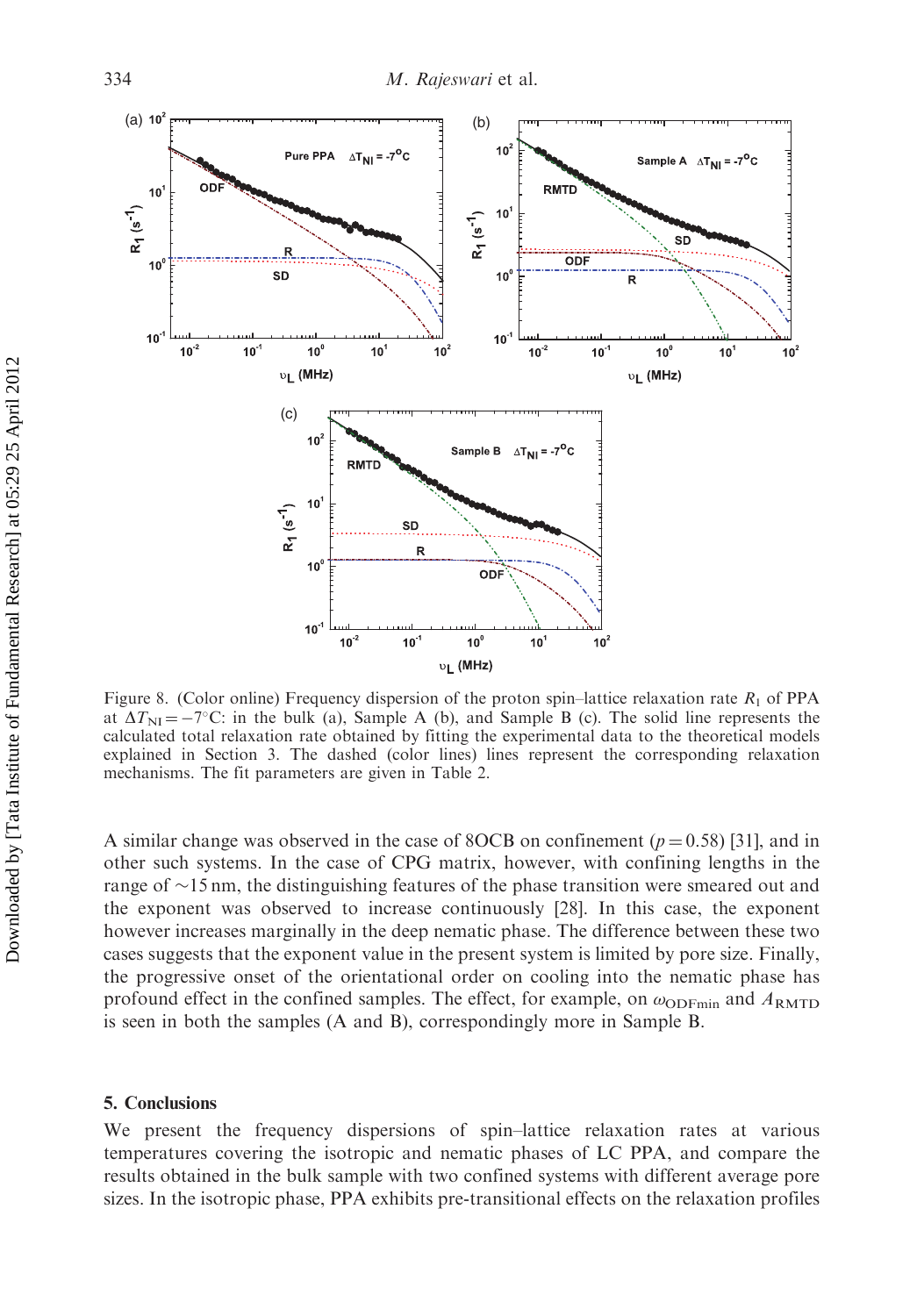

Figure 8. (Color online) Frequency dispersion of the proton spin–lattice relaxation rate  $R_1$  of PPA at  $\Delta T_{\text{NI}} = -7^{\circ}\text{C}$ : in the bulk (a), Sample A (b), and Sample B (c). The solid line represents the calculated total relaxation rate obtained by fitting the experimental data to the theoretical models explained in Section 3. The dashed (color lines) lines represent the corresponding relaxation mechanisms. The fit parameters are given in Table 2.

A similar change was observed in the case of 8OCB on confinement ( $p = 0.58$ ) [31], and in other such systems. In the case of CPG matrix, however, with confining lengths in the range of  $\sim$ 15 nm, the distinguishing features of the phase transition were smeared out and the exponent was observed to increase continuously [28]. In this case, the exponent however increases marginally in the deep nematic phase. The difference between these two cases suggests that the exponent value in the present system is limited by pore size. Finally, the progressive onset of the orientational order on cooling into the nematic phase has profound effect in the confined samples. The effect, for example, on  $\omega_{\text{ODFmin}}$  and  $A_{\text{RMTD}}$ is seen in both the samples (A and B), correspondingly more in Sample B.

#### 5. Conclusions

We present the frequency dispersions of spin–lattice relaxation rates at various temperatures covering the isotropic and nematic phases of LC PPA, and compare the results obtained in the bulk sample with two confined systems with different average pore sizes. In the isotropic phase, PPA exhibits pre-transitional effects on the relaxation profiles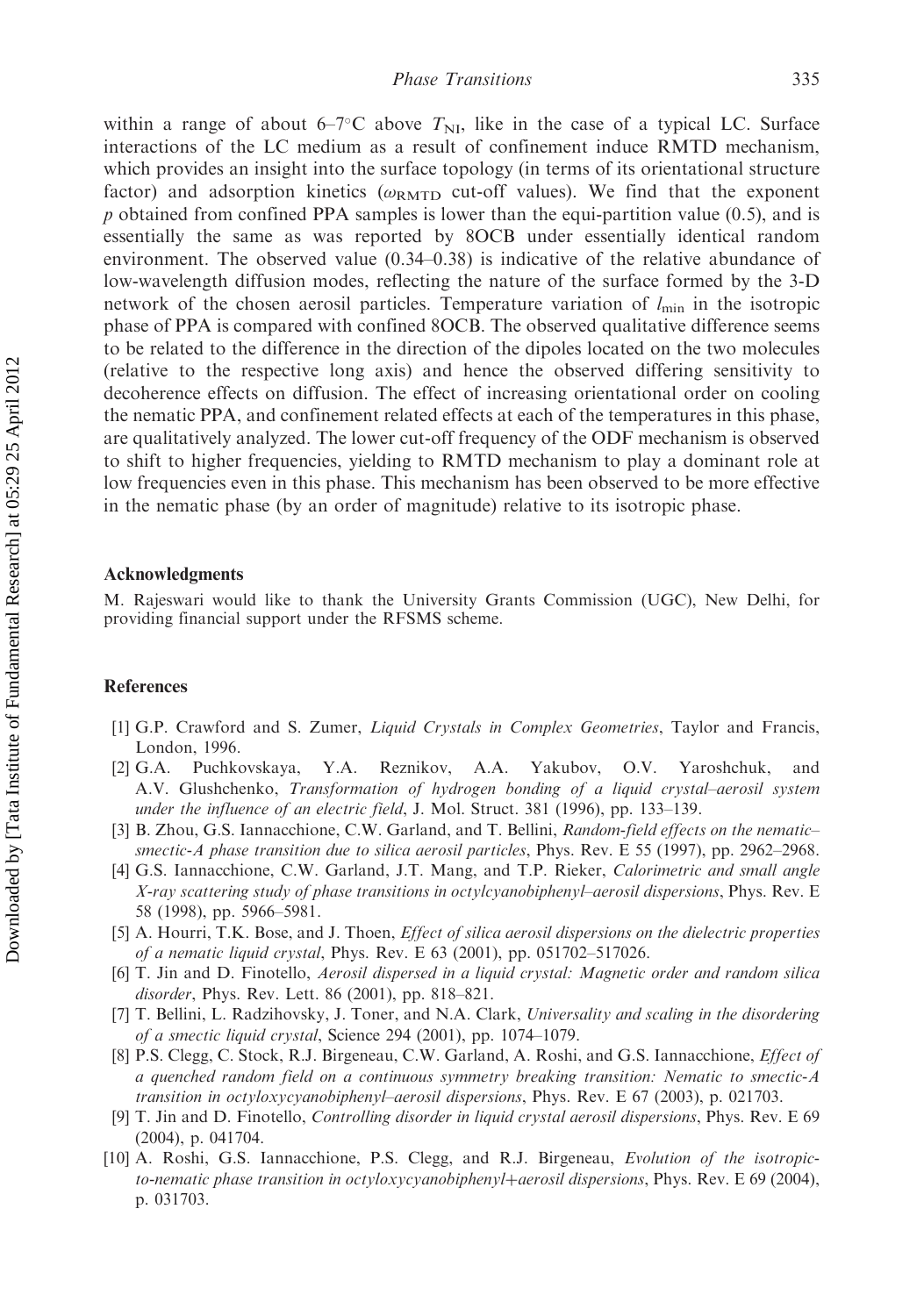within a range of about  $6-7^{\circ}$ C above  $T_{\text{NI}}$ , like in the case of a typical LC. Surface interactions of the LC medium as a result of confinement induce RMTD mechanism, which provides an insight into the surface topology (in terms of its orientational structure factor) and adsorption kinetics ( $\omega_{\rm RMTD}$  cut-off values). We find that the exponent  $p$  obtained from confined PPA samples is lower than the equi-partition value (0.5), and is essentially the same as was reported by 8OCB under essentially identical random environment. The observed value (0.34–0.38) is indicative of the relative abundance of low-wavelength diffusion modes, reflecting the nature of the surface formed by the 3-D network of the chosen aerosil particles. Temperature variation of  $l_{\min}$  in the isotropic phase of PPA is compared with confined 8OCB. The observed qualitative difference seems to be related to the difference in the direction of the dipoles located on the two molecules (relative to the respective long axis) and hence the observed differing sensitivity to decoherence effects on diffusion. The effect of increasing orientational order on cooling the nematic PPA, and confinement related effects at each of the temperatures in this phase, are qualitatively analyzed. The lower cut-off frequency of the ODF mechanism is observed to shift to higher frequencies, yielding to RMTD mechanism to play a dominant role at low frequencies even in this phase. This mechanism has been observed to be more effective in the nematic phase (by an order of magnitude) relative to its isotropic phase.

#### Acknowledgments

M. Rajeswari would like to thank the University Grants Commission (UGC), New Delhi, for providing financial support under the RFSMS scheme.

#### References

- [1] G.P. Crawford and S. Zumer, *Liquid Crystals in Complex Geometries*, Taylor and Francis, London, 1996.
- [2] G.A. Puchkovskaya, Y.A. Reznikov, A.A. Yakubov, O.V. Yaroshchuk, and A.V. Glushchenko, Transformation of hydrogen bonding of a liquid crystal–aerosil system under the influence of an electric field, J. Mol. Struct. 381 (1996), pp. 133–139.
- [3] B. Zhou, G.S. Iannacchione, C.W. Garland, and T. Bellini, Random-field effects on the nematic– smectic-A phase transition due to silica aerosil particles, Phys. Rev. E 55 (1997), pp. 2962–2968.
- [4] G.S. Iannacchione, C.W. Garland, J.T. Mang, and T.P. Rieker, *Calorimetric and small angle* X-ray scattering study of phase transitions in octylcyanobiphenyl–aerosil dispersions, Phys. Rev. E 58 (1998), pp. 5966–5981.
- [5] A. Hourri, T.K. Bose, and J. Thoen, Effect of silica aerosil dispersions on the dielectric properties of a nematic liquid crystal, Phys. Rev. E 63 (2001), pp. 051702–517026.
- [6] T. Jin and D. Finotello, Aerosil dispersed in a liquid crystal: Magnetic order and random silica disorder, Phys. Rev. Lett. 86 (2001), pp. 818–821.
- [7] T. Bellini, L. Radzihovsky, J. Toner, and N.A. Clark, Universality and scaling in the disordering of a smectic liquid crystal, Science 294 (2001), pp. 1074–1079.
- [8] P.S. Clegg, C. Stock, R.J. Birgeneau, C.W. Garland, A. Roshi, and G.S. Iannacchione, *Effect of* a quenched random field on a continuous symmetry breaking transition: Nematic to smectic-A transition in octyloxycyanobiphenyl–aerosil dispersions, Phys. Rev. E 67 (2003), p. 021703.
- [9] T. Jin and D. Finotello, Controlling disorder in liquid crystal aerosil dispersions, Phys. Rev. E 69 (2004), p. 041704.
- [10] A. Roshi, G.S. Iannacchione, P.S. Clegg, and R.J. Birgeneau, Evolution of the isotropicto-nematic phase transition in octyloxycyanobiphenyl+aerosil dispersions, Phys. Rev. E 69 (2004), p. 031703.